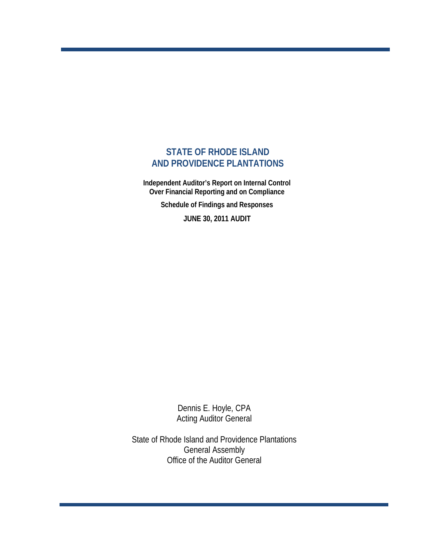## **STATE OF RHODE ISLAND AND PROVIDENCE PLANTATIONS**

 **Independent Auditor's Report on Internal Control Over Financial Reporting and on Compliance** 

 **Schedule of Findings and Responses**

 **JUNE 30, 2011 AUDIT**

Dennis E. Hoyle, CPA Acting Auditor General

State of Rhode Island and Providence Plantations General Assembly Office of the Auditor General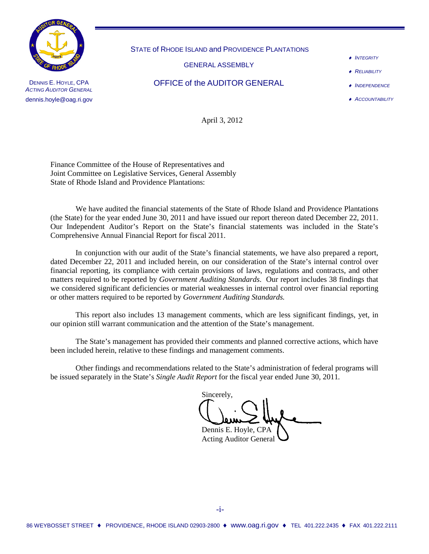

DENNIS E. HOYLE, CPA *ACTING AUDITOR GENERAL* dennis.hoyle@oag.ri.gov

STATE of RHODE ISLAND and PROVIDENCE PLANTATIONS

GENERAL ASSEMBLY

OFFICE of the AUDITOR GENERAL

♦ *INTEGRITY*

- ♦ *RELIABILITY*
- ♦ *INDEPENDENCE*
- ♦ *ACCOUNTABILITY*

April 3, 2012

Finance Committee of the House of Representatives and Joint Committee on Legislative Services, General Assembly State of Rhode Island and Providence Plantations:

We have audited the financial statements of the State of Rhode Island and Providence Plantations (the State) for the year ended June 30, 2011 and have issued our report thereon dated December 22, 2011. Our Independent Auditor's Report on the State's financial statements was included in the State's Comprehensive Annual Financial Report for fiscal 2011.

In conjunction with our audit of the State's financial statements, we have also prepared a report, dated December 22, 2011 and included herein, on our consideration of the State's internal control over financial reporting, its compliance with certain provisions of laws, regulations and contracts, and other matters required to be reported by *Government Auditing Standards*. Our report includes 38 findings that we considered significant deficiencies or material weaknesses in internal control over financial reporting or other matters required to be reported by *Government Auditing Standards.*

This report also includes 13 management comments, which are less significant findings, yet, in our opinion still warrant communication and the attention of the State's management.

The State's management has provided their comments and planned corrective actions, which have been included herein, relative to these findings and management comments.

Other findings and recommendations related to the State's administration of federal programs will be issued separately in the State's *Single Audit Report* for the fiscal year ended June 30, 2011*.*

Sincerely, Dennis E. Hoyle, CPA

Acting Auditor General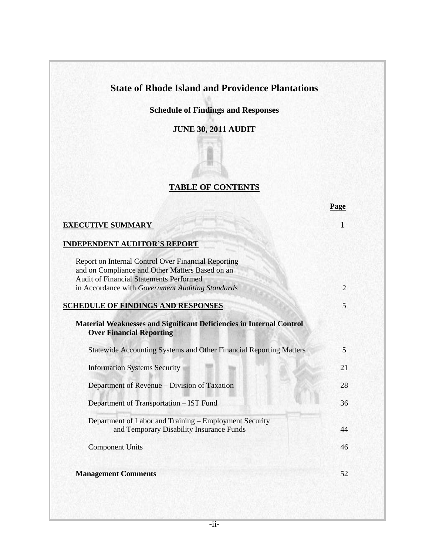## **State of Rhode Island and Providence Plantations**

**Schedule of Findings and Responses**

**JUNE 30, 2011 AUDIT**

## **TABLE OF CONTENTS**

|                                                                                                                                                          | Page           |
|----------------------------------------------------------------------------------------------------------------------------------------------------------|----------------|
| <b>EXECUTIVE SUMMARY</b>                                                                                                                                 | 1              |
| <b>INDEPENDENT AUDITOR'S REPORT</b>                                                                                                                      |                |
| Report on Internal Control Over Financial Reporting<br>and on Compliance and Other Matters Based on an<br><b>Audit of Financial Statements Performed</b> |                |
| in Accordance with Government Auditing Standards                                                                                                         | $\overline{2}$ |
| <b>SCHEDULE OF FINDINGS AND RESPONSES</b>                                                                                                                | 5              |
| Material Weaknesses and Significant Deficiencies in Internal Control<br><b>Over Financial Reporting</b>                                                  |                |
| <b>Statewide Accounting Systems and Other Financial Reporting Matters</b>                                                                                | 5              |
| <b>Information Systems Security</b>                                                                                                                      | 21             |
| Department of Revenue – Division of Taxation                                                                                                             | 28             |
| Department of Transportation - IST Fund                                                                                                                  | 36             |
| Department of Labor and Training - Employment Security<br>and Temporary Disability Insurance Funds                                                       | 44             |
| <b>Component Units</b>                                                                                                                                   | 46             |
| <b>Management Comments</b>                                                                                                                               | 52             |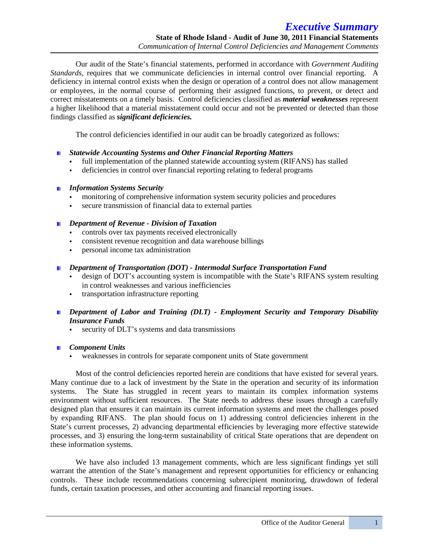Our audit of the State's financial statements, performed in accordance with *Government Auditing Standards*, requires that we communicate deficiencies in internal control over financial reporting. A deficiency in internal control exists when the design or operation of a control does not allow management or employees, in the normal course of performing their assigned functions, to prevent, or detect and correct misstatements on a timely basis. Control deficiencies classified as *material weaknesses* represent a higher likelihood that a material misstatement could occur and not be prevented or detected than those findings classified as *significant deficiencies.*

The control deficiencies identified in our audit can be broadly categorized as follows:

### *Statewide Accounting Systems and Other Financial Reporting Matters*

- full implementation of the planned statewide accounting system (RIFANS) has stalled
- deficiencies in control over financial reporting relating to federal programs

### *Information Systems Security*

- monitoring of comprehensive information system security policies and procedures
- secure transmission of financial data to external parties

### *Department of Revenue - Division of Taxation*

- controls over tax payments received electronically
- consistent revenue recognition and data warehouse billings
- personal income tax administration

### *Department of Transportation (DOT) - Intermodal Surface Transportation Fund*

- design of DOT's accounting system is incompatible with the State's RIFANS system resulting in control weaknesses and various inefficiencies
- transportation infrastructure reporting
- *Department of Labor and Training (DLT) - Employment Security and Temporary Disability Insurance Funds*
	- security of DLT's systems and data transmissions

### *Component Units*

weaknesses in controls for separate component units of State government

Most of the control deficiencies reported herein are conditions that have existed for several years. Many continue due to a lack of investment by the State in the operation and security of its information systems. The State has struggled in recent years to maintain its complex information systems environment without sufficient resources. The State needs to address these issues through a carefully designed plan that ensures it can maintain its current information systems and meet the challenges posed by expanding RIFANS. The plan should focus on 1) addressing control deficiencies inherent in the State's current processes, 2) advancing departmental efficiencies by leveraging more effective statewide processes, and 3) ensuring the long-term sustainability of critical State operations that are dependent on these information systems.

We have also included 13 management comments, which are less significant findings yet still warrant the attention of the State's management and represent opportunities for efficiency or enhancing controls. These include recommendations concerning subrecipient monitoring, drawdown of federal funds, certain taxation processes, and other accounting and financial reporting issues.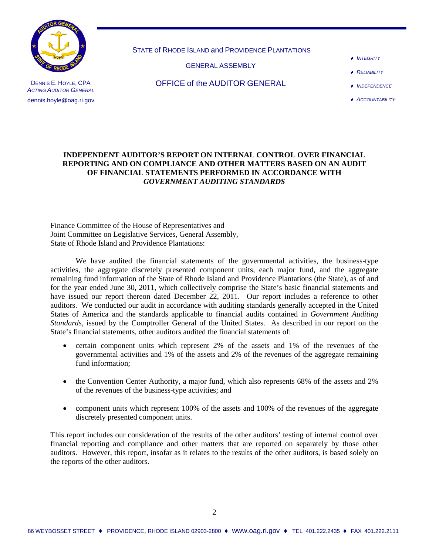

DENNIS E. HOYLE, CPA *ACTING AUDITOR GENERAL* dennis.hoyle@oag.ri.gov

STATE of RHODE ISLAND and PROVIDENCE PLANTATIONS

GENERAL ASSEMBLY

- ♦ *INTEGRITY*
- ♦ *RELIABILITY*

OFFICE of the AUDITOR GENERAL

♦ *INDEPENDENCE* ♦ *ACCOUNTABILITY*

### **INDEPENDENT AUDITOR'S REPORT ON INTERNAL CONTROL OVER FINANCIAL REPORTING AND ON COMPLIANCE AND OTHER MATTERS BASED ON AN AUDIT OF FINANCIAL STATEMENTS PERFORMED IN ACCORDANCE WITH**  *GOVERNMENT AUDITING STANDARDS*

Finance Committee of the House of Representatives and Joint Committee on Legislative Services, General Assembly, State of Rhode Island and Providence Plantations:

We have audited the financial statements of the governmental activities, the business-type activities, the aggregate discretely presented component units, each major fund, and the aggregate remaining fund information of the State of Rhode Island and Providence Plantations (the State), as of and for the year ended June 30, 2011, which collectively comprise the State's basic financial statements and have issued our report thereon dated December 22, 2011. Our report includes a reference to other auditors. We conducted our audit in accordance with auditing standards generally accepted in the United States of America and the standards applicable to financial audits contained in *Government Auditing Standards*, issued by the Comptroller General of the United States. As described in our report on the State's financial statements, other auditors audited the financial statements of:

- certain component units which represent 2% of the assets and 1% of the revenues of the governmental activities and 1% of the assets and 2% of the revenues of the aggregate remaining fund information;
- the Convention Center Authority, a major fund, which also represents 68% of the assets and 2% of the revenues of the business-type activities; and
- component units which represent 100% of the assets and 100% of the revenues of the aggregate discretely presented component units.

This report includes our consideration of the results of the other auditors' testing of internal control over financial reporting and compliance and other matters that are reported on separately by those other auditors. However, this report, insofar as it relates to the results of the other auditors, is based solely on the reports of the other auditors.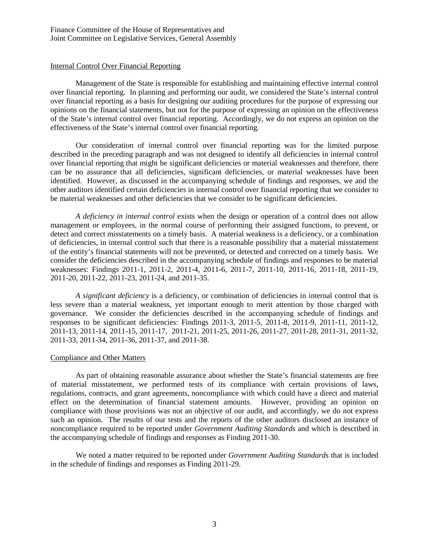### Internal Control Over Financial Reporting

Management of the State is responsible for establishing and maintaining effective internal control over financial reporting. In planning and performing our audit, we considered the State's internal control over financial reporting as a basis for designing our auditing procedures for the purpose of expressing our opinions on the financial statements, but not for the purpose of expressing an opinion on the effectiveness of the State's internal control over financial reporting. Accordingly, we do not express an opinion on the effectiveness of the State's internal control over financial reporting.

Our consideration of internal control over financial reporting was for the limited purpose described in the preceding paragraph and was not designed to identify all deficiencies in internal control over financial reporting that might be significant deficiencies or material weaknesses and therefore, there can be no assurance that all deficiencies, significant deficiencies, or material weaknesses have been identified. However, as discussed in the accompanying schedule of findings and responses, we and the other auditors identified certain deficiencies in internal control over financial reporting that we consider to be material weaknesses and other deficiencies that we consider to be significant deficiencies.

*A deficiency in internal control* exists when the design or operation of a control does not allow management or employees, in the normal course of performing their assigned functions, to prevent, or detect and correct misstatements on a timely basis. A material weakness is a deficiency, or a combination of deficiencies, in internal control such that there is a reasonable possibility that a material misstatement of the entity's financial statements will not be prevented, or detected and corrected on a timely basis. We consider the deficiencies described in the accompanying schedule of findings and responses to be material weaknesses: Findings 2011-1, 2011-2, 2011-4, 2011-6, 2011-7, 2011-10, 2011-16, 2011-18, 2011-19, 2011-20, 2011-22, 2011-23, 2011-24, and 2011-35.

*A significant deficiency* is a deficiency, or combination of deficiencies in internal control that is less severe than a material weakness, yet important enough to merit attention by those charged with governance. We consider the deficiencies described in the accompanying schedule of findings and responses to be significant deficiencies: Findings 2011-3, 2011-5, 2011-8, 2011-9, 2011-11, 2011-12, 2011-13, 2011-14, 2011-15, 2011-17, 2011-21, 2011-25, 2011-26, 2011-27, 2011-28, 2011-31, 2011-32, 2011-33, 2011-34, 2011-36, 2011-37, and 2011-38.

### Compliance and Other Matters

As part of obtaining reasonable assurance about whether the State's financial statements are free of material misstatement, we performed tests of its compliance with certain provisions of laws, regulations, contracts, and grant agreements, noncompliance with which could have a direct and material effect on the determination of financial statement amounts. However, providing an opinion on compliance with those provisions was not an objective of our audit, and accordingly, we do not express such an opinion. The results of our tests and the reports of the other auditors disclosed an instance of noncompliance required to be reported under *Government Auditing Standards* and which is described in the accompanying schedule of findings and responses as Finding 2011-30.

We noted a matter required to be reported under *Government Auditing Standards* that is included in the schedule of findings and responses as Finding 2011-29.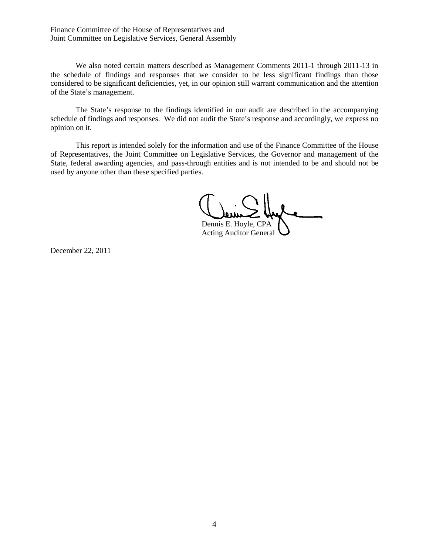Finance Committee of the House of Representatives and Joint Committee on Legislative Services, General Assembly

We also noted certain matters described as Management Comments 2011-1 through 2011-13 in the schedule of findings and responses that we consider to be less significant findings than those considered to be significant deficiencies, yet, in our opinion still warrant communication and the attention of the State's management.

The State's response to the findings identified in our audit are described in the accompanying schedule of findings and responses. We did not audit the State's response and accordingly, we express no opinion on it.

This report is intended solely for the information and use of the Finance Committee of the House of Representatives, the Joint Committee on Legislative Services, the Governor and management of the State, federal awarding agencies, and pass-through entities and is not intended to be and should not be used by anyone other than these specified parties.

Dennis E. Hoyle, CPA

Acting Auditor General

December 22, 2011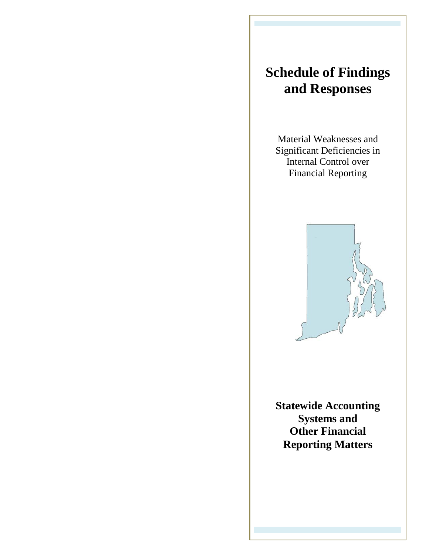# **Schedule of Findings and Responses**

Material Weaknesses and Significant Deficiencies in Internal Control over Financial Reporting



**Statewide Accounting Systems and Other Financial Reporting Matters**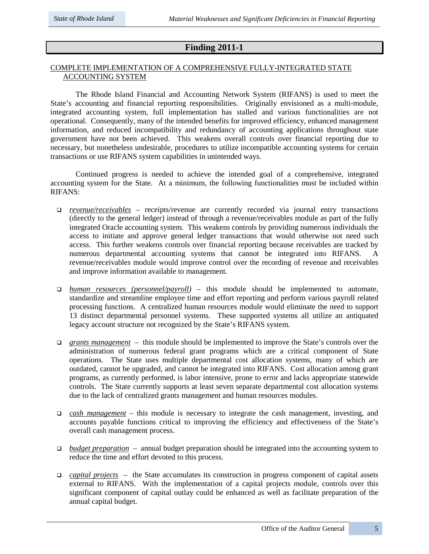### **Finding 2011-1**

### COMPLETE IMPLEMENTATION OF A COMPREHENSIVE FULLY-INTEGRATED STATE ACCOUNTING SYSTEM

The Rhode Island Financial and Accounting Network System (RIFANS) is used to meet the State's accounting and financial reporting responsibilities. Originally envisioned as a multi-module, integrated accounting system, full implementation has stalled and various functionalities are not operational. Consequently, many of the intended benefits for improved efficiency, enhanced management information, and reduced incompatibility and redundancy of accounting applications throughout state government have not been achieved. This weakens overall controls over financial reporting due to necessary, but nonetheless undesirable, procedures to utilize incompatible accounting systems for certain transactions or use RIFANS system capabilities in unintended ways.

Continued progress is needed to achieve the intended goal of a comprehensive, integrated accounting system for the State. At a minimum, the following functionalities must be included within RIFANS:

- *revenue/receivables* receipts/revenue are currently recorded via journal entry transactions (directly to the general ledger) instead of through a revenue/receivables module as part of the fully integrated Oracle accounting system. This weakens controls by providing numerous individuals the access to initiate and approve general ledger transactions that would otherwise not need such access. This further weakens controls over financial reporting because receivables are tracked by numerous departmental accounting systems that cannot be integrated into RIFANS. A revenue/receivables module would improve control over the recording of revenue and receivables and improve information available to management.
- *human resources (personnel/payroll) –* this module should be implemented to automate, standardize and streamline employee time and effort reporting and perform various payroll related processing functions. A centralized human resources module would eliminate the need to support 13 distinct departmental personnel systems. These supported systems all utilize an antiquated legacy account structure not recognized by the State's RIFANS system.
- *grants management* this module should be implemented to improve the State's controls over the administration of numerous federal grant programs which are a critical component of State operations. The State uses multiple departmental cost allocation systems, many of which are outdated, cannot be upgraded, and cannot be integrated into RIFANS. Cost allocation among grant programs, as currently performed, is labor intensive, prone to error and lacks appropriate statewide controls. The State currently supports at least seven separate departmental cost allocation systems due to the lack of centralized grants management and human resources modules.
- *cash management* this module is necessary to integrate the cash management, investing, and accounts payable functions critical to improving the efficiency and effectiveness of the State's overall cash management process.
- *budget preparation* annual budget preparation should be integrated into the accounting system to reduce the time and effort devoted to this process.
- *capital projects* the State accumulates its construction in progress component of capital assets external to RIFANS. With the implementation of a capital projects module, controls over this significant component of capital outlay could be enhanced as well as facilitate preparation of the annual capital budget.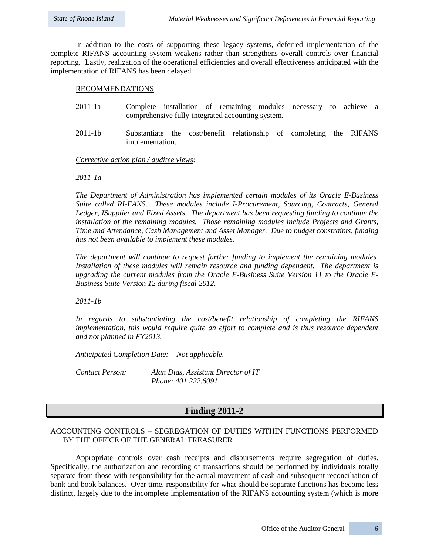In addition to the costs of supporting these legacy systems, deferred implementation of the complete RIFANS accounting system weakens rather than strengthens overall controls over financial reporting. Lastly, realization of the operational efficiencies and overall effectiveness anticipated with the implementation of RIFANS has been delayed.

### RECOMMENDATIONS

- 2011-1a Complete installation of remaining modules necessary to achieve a comprehensive fully-integrated accounting system.
- 2011-1b Substantiate the cost/benefit relationship of completing the RIFANS implementation.

*Corrective action plan / auditee views:* 

*2011-1a* 

*The Department of Administration has implemented certain modules of its Oracle E-Business Suite called RI-FANS. These modules include I-Procurement, Sourcing, Contracts, General Ledger, ISupplier and Fixed Assets. The department has been requesting funding to continue the installation of the remaining modules. Those remaining modules include Projects and Grants, Time and Attendance, Cash Management and Asset Manager. Due to budget constraints, funding has not been available to implement these modules.* 

*The department will continue to request further funding to implement the remaining modules. Installation of these modules will remain resource and funding dependent. The department is upgrading the current modules from the Oracle E-Business Suite Version 11 to the Oracle E-Business Suite Version 12 during fiscal 2012.* 

*2011-1b*

*In regards to substantiating the cost/benefit relationship of completing the RIFANS implementation, this would require quite an effort to complete and is thus resource dependent and not planned in FY2013.*

*Anticipated Completion Date: Not applicable.*

*Contact Person: Alan Dias, Assistant Director of IT Phone: 401.222.6091*

### **Finding 2011-2**

### ACCOUNTING CONTROLS – SEGREGATION OF DUTIES WITHIN FUNCTIONS PERFORMED BY THE OFFICE OF THE GENERAL TREASURER

Appropriate controls over cash receipts and disbursements require segregation of duties. Specifically, the authorization and recording of transactions should be performed by individuals totally separate from those with responsibility for the actual movement of cash and subsequent reconciliation of bank and book balances. Over time, responsibility for what should be separate functions has become less distinct, largely due to the incomplete implementation of the RIFANS accounting system (which is more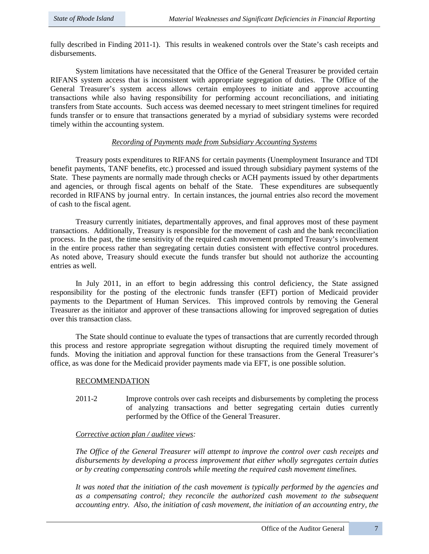fully described in Finding 2011-1). This results in weakened controls over the State's cash receipts and disbursements.

System limitations have necessitated that the Office of the General Treasurer be provided certain RIFANS system access that is inconsistent with appropriate segregation of duties. The Office of the General Treasurer's system access allows certain employees to initiate and approve accounting transactions while also having responsibility for performing account reconciliations, and initiating transfers from State accounts. Such access was deemed necessary to meet stringent timelines for required funds transfer or to ensure that transactions generated by a myriad of subsidiary systems were recorded timely within the accounting system.

### *Recording of Payments made from Subsidiary Accounting Systems*

Treasury posts expenditures to RIFANS for certain payments (Unemployment Insurance and TDI benefit payments, TANF benefits, etc.) processed and issued through subsidiary payment systems of the State. These payments are normally made through checks or ACH payments issued by other departments and agencies, or through fiscal agents on behalf of the State. These expenditures are subsequently recorded in RIFANS by journal entry. In certain instances, the journal entries also record the movement of cash to the fiscal agent.

Treasury currently initiates, departmentally approves, and final approves most of these payment transactions. Additionally, Treasury is responsible for the movement of cash and the bank reconciliation process. In the past, the time sensitivity of the required cash movement prompted Treasury's involvement in the entire process rather than segregating certain duties consistent with effective control procedures. As noted above, Treasury should execute the funds transfer but should not authorize the accounting entries as well.

In July 2011, in an effort to begin addressing this control deficiency, the State assigned responsibility for the posting of the electronic funds transfer (EFT) portion of Medicaid provider payments to the Department of Human Services. This improved controls by removing the General Treasurer as the initiator and approver of these transactions allowing for improved segregation of duties over this transaction class.

The State should continue to evaluate the types of transactions that are currently recorded through this process and restore appropriate segregation without disrupting the required timely movement of funds. Moving the initiation and approval function for these transactions from the General Treasurer's office, as was done for the Medicaid provider payments made via EFT, is one possible solution.

### RECOMMENDATION

2011-2 Improve controls over cash receipts and disbursements by completing the process of analyzing transactions and better segregating certain duties currently performed by the Office of the General Treasurer.

### *Corrective action plan / auditee views:*

*The Office of the General Treasurer will attempt to improve the control over cash receipts and disbursements by developing a process improvement that either wholly segregates certain duties or by creating compensating controls while meeting the required cash movement timelines.*

*It was noted that the initiation of the cash movement is typically performed by the agencies and as a compensating control; they reconcile the authorized cash movement to the subsequent accounting entry. Also, the initiation of cash movement, the initiation of an accounting entry, the*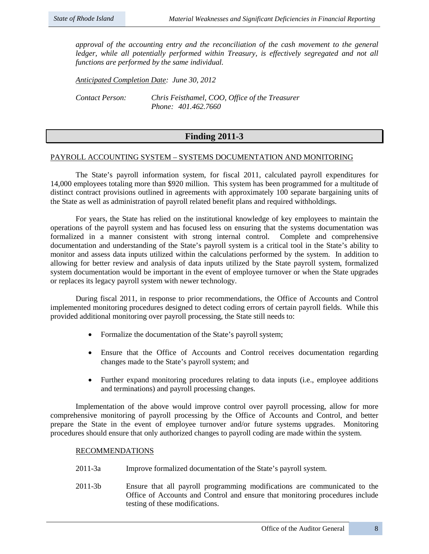*approval of the accounting entry and the reconciliation of the cash movement to the general*  ledger, while all potentially performed within Treasury, is effectively segregated and not all *functions are performed by the same individual.*

*Anticipated Completion Date: June 30, 2012*

*Contact Person: Chris Feisthamel, COO, Office of the Treasurer Phone: 401.462.7660*

### **Finding 2011-3**

### PAYROLL ACCOUNTING SYSTEM – SYSTEMS DOCUMENTATION AND MONITORING

The State's payroll information system, for fiscal 2011, calculated payroll expenditures for 14,000 employees totaling more than \$920 million. This system has been programmed for a multitude of distinct contract provisions outlined in agreements with approximately 100 separate bargaining units of the State as well as administration of payroll related benefit plans and required withholdings.

For years, the State has relied on the institutional knowledge of key employees to maintain the operations of the payroll system and has focused less on ensuring that the systems documentation was formalized in a manner consistent with strong internal control. Complete and comprehensive documentation and understanding of the State's payroll system is a critical tool in the State's ability to monitor and assess data inputs utilized within the calculations performed by the system. In addition to allowing for better review and analysis of data inputs utilized by the State payroll system, formalized system documentation would be important in the event of employee turnover or when the State upgrades or replaces its legacy payroll system with newer technology.

During fiscal 2011, in response to prior recommendations, the Office of Accounts and Control implemented monitoring procedures designed to detect coding errors of certain payroll fields. While this provided additional monitoring over payroll processing, the State still needs to:

- Formalize the documentation of the State's payroll system;
- Ensure that the Office of Accounts and Control receives documentation regarding changes made to the State's payroll system; and
- Further expand monitoring procedures relating to data inputs (i.e., employee additions and terminations) and payroll processing changes.

Implementation of the above would improve control over payroll processing, allow for more comprehensive monitoring of payroll processing by the Office of Accounts and Control, and better prepare the State in the event of employee turnover and/or future systems upgrades. Monitoring procedures should ensure that only authorized changes to payroll coding are made within the system.

### RECOMMENDATIONS

- 2011-3a Improve formalized documentation of the State's payroll system.
- 2011-3b Ensure that all payroll programming modifications are communicated to the Office of Accounts and Control and ensure that monitoring procedures include testing of these modifications.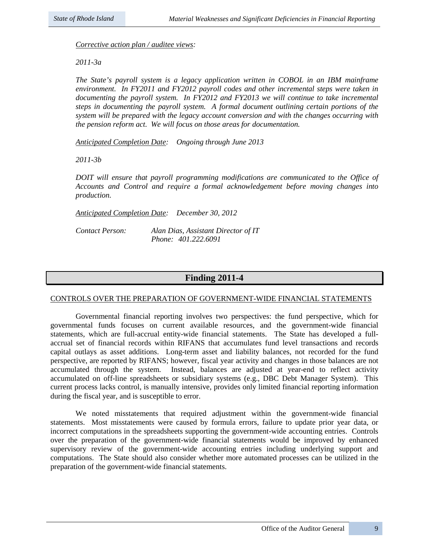*Corrective action plan / auditee views:*

*2011-3a*

*The State's payroll system is a legacy application written in COBOL in an IBM mainframe environment. In FY2011 and FY2012 payroll codes and other incremental steps were taken in*  documenting the payroll system. In FY2012 and FY2013 we will continue to take incremental *steps in documenting the payroll system. A formal document outlining certain portions of the system will be prepared with the legacy account conversion and with the changes occurring with the pension reform act. We will focus on those areas for documentation.*

*Anticipated Completion Date: Ongoing through June 2013*

*2011-3b*

*DOIT will ensure that payroll programming modifications are communicated to the Office of Accounts and Control and require a formal acknowledgement before moving changes into production.*

*Anticipated Completion Date: December 30, 2012*

*Contact Person: Alan Dias, Assistant Director of IT Phone: 401.222.6091*

### **Finding 2011-4**

### CONTROLS OVER THE PREPARATION OF GOVERNMENT-WIDE FINANCIAL STATEMENTS

Governmental financial reporting involves two perspectives: the fund perspective, which for governmental funds focuses on current available resources, and the government-wide financial statements, which are full-accrual entity-wide financial statements. The State has developed a fullaccrual set of financial records within RIFANS that accumulates fund level transactions and records capital outlays as asset additions. Long-term asset and liability balances, not recorded for the fund perspective, are reported by RIFANS; however, fiscal year activity and changes in those balances are not accumulated through the system. Instead, balances are adjusted at year-end to reflect activity accumulated on off-line spreadsheets or subsidiary systems (e.g., DBC Debt Manager System). This current process lacks control, is manually intensive, provides only limited financial reporting information during the fiscal year, and is susceptible to error.

We noted misstatements that required adjustment within the government-wide financial statements. Most misstatements were caused by formula errors, failure to update prior year data, or incorrect computations in the spreadsheets supporting the government-wide accounting entries. Controls over the preparation of the government-wide financial statements would be improved by enhanced supervisory review of the government-wide accounting entries including underlying support and computations. The State should also consider whether more automated processes can be utilized in the preparation of the government-wide financial statements.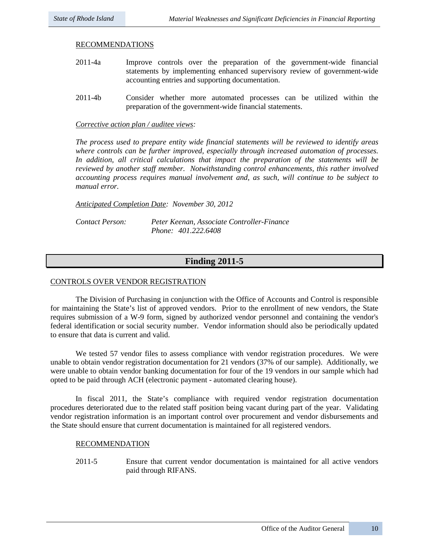### RECOMMENDATIONS

- 2011-4a Improve controls over the preparation of the government-wide financial statements by implementing enhanced supervisory review of government-wide accounting entries and supporting documentation.
- 2011-4b Consider whether more automated processes can be utilized within the preparation of the government-wide financial statements.

### *Corrective action plan / auditee views:*

*The process used to prepare entity wide financial statements will be reviewed to identify areas where controls can be further improved, especially through increased automation of processes. In addition, all critical calculations that impact the preparation of the statements will be reviewed by another staff member. Notwithstanding control enhancements, this rather involved accounting process requires manual involvement and, as such, will continue to be subject to manual error.* 

*Anticipated Completion Date: November 30, 2012*

*Contact Person: Peter Keenan, Associate Controller-Finance Phone: 401.222.6408*

### **Finding 2011-5**

### CONTROLS OVER VENDOR REGISTRATION

The Division of Purchasing in conjunction with the Office of Accounts and Control is responsible for maintaining the State's list of approved vendors. Prior to the enrollment of new vendors, the State requires submission of a W-9 form, signed by authorized vendor personnel and containing the vendor's federal identification or social security number. Vendor information should also be periodically updated to ensure that data is current and valid.

We tested 57 vendor files to assess compliance with vendor registration procedures. We were unable to obtain vendor registration documentation for 21 vendors (37% of our sample). Additionally, we were unable to obtain vendor banking documentation for four of the 19 vendors in our sample which had opted to be paid through ACH (electronic payment - automated clearing house).

In fiscal 2011, the State's compliance with required vendor registration documentation procedures deteriorated due to the related staff position being vacant during part of the year. Validating vendor registration information is an important control over procurement and vendor disbursements and the State should ensure that current documentation is maintained for all registered vendors.

### RECOMMENDATION

2011-5 Ensure that current vendor documentation is maintained for all active vendors paid through RIFANS.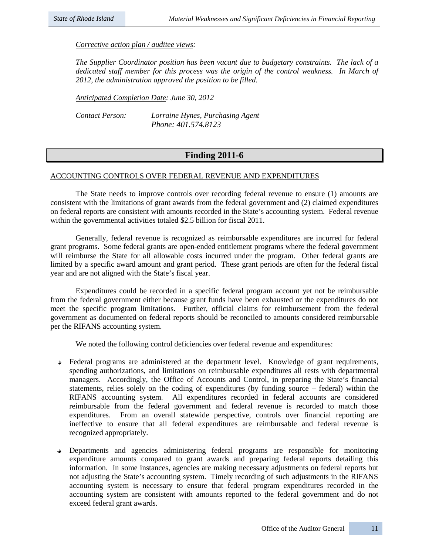*Corrective action plan / auditee views:* 

*The Supplier Coordinator position has been vacant due to budgetary constraints. The lack of a*  dedicated staff member for this process was the origin of the control weakness. In March of *2012, the administration approved the position to be filled.* 

*Anticipated Completion Date: June 30, 2012*

*Contact Person: Lorraine Hynes, Purchasing Agent Phone: 401.574.8123*

### **Finding 2011-6**

### ACCOUNTING CONTROLS OVER FEDERAL REVENUE AND EXPENDITURES

The State needs to improve controls over recording federal revenue to ensure (1) amounts are consistent with the limitations of grant awards from the federal government and (2) claimed expenditures on federal reports are consistent with amounts recorded in the State's accounting system. Federal revenue within the governmental activities totaled \$2.5 billion for fiscal 2011.

Generally, federal revenue is recognized as reimbursable expenditures are incurred for federal grant programs. Some federal grants are open-ended entitlement programs where the federal government will reimburse the State for all allowable costs incurred under the program. Other federal grants are limited by a specific award amount and grant period. These grant periods are often for the federal fiscal year and are not aligned with the State's fiscal year.

Expenditures could be recorded in a specific federal program account yet not be reimbursable from the federal government either because grant funds have been exhausted or the expenditures do not meet the specific program limitations. Further, official claims for reimbursement from the federal government as documented on federal reports should be reconciled to amounts considered reimbursable per the RIFANS accounting system.

We noted the following control deficiencies over federal revenue and expenditures:

- Federal programs are administered at the department level. Knowledge of grant requirements, spending authorizations, and limitations on reimbursable expenditures all rests with departmental managers. Accordingly, the Office of Accounts and Control, in preparing the State's financial statements, relies solely on the coding of expenditures (by funding source – federal) within the RIFANS accounting system. All expenditures recorded in federal accounts are considered reimbursable from the federal government and federal revenue is recorded to match those expenditures. From an overall statewide perspective, controls over financial reporting are ineffective to ensure that all federal expenditures are reimbursable and federal revenue is recognized appropriately.
- Departments and agencies administering federal programs are responsible for monitoring expenditure amounts compared to grant awards and preparing federal reports detailing this information. In some instances, agencies are making necessary adjustments on federal reports but not adjusting the State's accounting system. Timely recording of such adjustments in the RIFANS accounting system is necessary to ensure that federal program expenditures recorded in the accounting system are consistent with amounts reported to the federal government and do not exceed federal grant awards.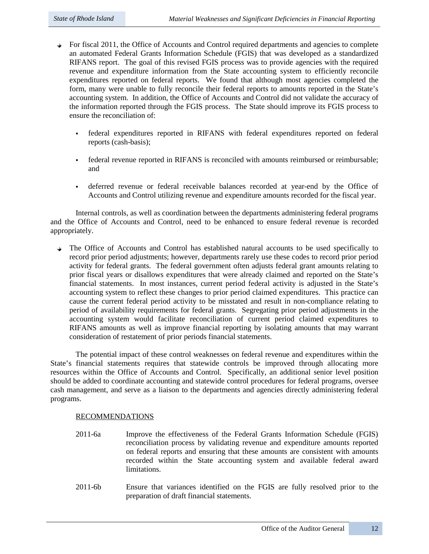- $\rightarrow$  For fiscal 2011, the Office of Accounts and Control required departments and agencies to complete an automated Federal Grants Information Schedule (FGIS) that was developed as a standardized RIFANS report. The goal of this revised FGIS process was to provide agencies with the required revenue and expenditure information from the State accounting system to efficiently reconcile expenditures reported on federal reports. We found that although most agencies completed the form, many were unable to fully reconcile their federal reports to amounts reported in the State's accounting system. In addition, the Office of Accounts and Control did not validate the accuracy of the information reported through the FGIS process. The State should improve its FGIS process to ensure the reconciliation of:
	- federal expenditures reported in RIFANS with federal expenditures reported on federal reports (cash-basis);
	- federal revenue reported in RIFANS is reconciled with amounts reimbursed or reimbursable; and
	- deferred revenue or federal receivable balances recorded at year-end by the Office of Accounts and Control utilizing revenue and expenditure amounts recorded for the fiscal year.

Internal controls, as well as coordination between the departments administering federal programs and the Office of Accounts and Control, need to be enhanced to ensure federal revenue is recorded appropriately.

The Office of Accounts and Control has established natural accounts to be used specifically to record prior period adjustments; however, departments rarely use these codes to record prior period activity for federal grants. The federal government often adjusts federal grant amounts relating to prior fiscal years or disallows expenditures that were already claimed and reported on the State's financial statements. In most instances, current period federal activity is adjusted in the State's accounting system to reflect these changes to prior period claimed expenditures. This practice can cause the current federal period activity to be misstated and result in non-compliance relating to period of availability requirements for federal grants. Segregating prior period adjustments in the accounting system would facilitate reconciliation of current period claimed expenditures to RIFANS amounts as well as improve financial reporting by isolating amounts that may warrant consideration of restatement of prior periods financial statements.

The potential impact of these control weaknesses on federal revenue and expenditures within the State's financial statements requires that statewide controls be improved through allocating more resources within the Office of Accounts and Control. Specifically, an additional senior level position should be added to coordinate accounting and statewide control procedures for federal programs, oversee cash management, and serve as a liaison to the departments and agencies directly administering federal programs.

### RECOMMENDATIONS

- 2011-6a Improve the effectiveness of the Federal Grants Information Schedule (FGIS) reconciliation process by validating revenue and expenditure amounts reported on federal reports and ensuring that these amounts are consistent with amounts recorded within the State accounting system and available federal award limitations.
- 2011-6b Ensure that variances identified on the FGIS are fully resolved prior to the preparation of draft financial statements.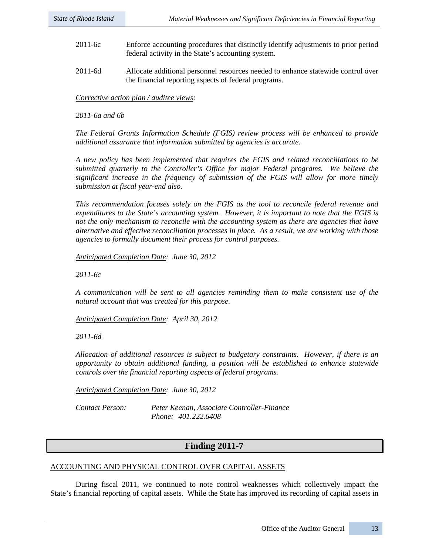- 2011-6c Enforce accounting procedures that distinctly identify adjustments to prior period federal activity in the State's accounting system.
- 2011-6d Allocate additional personnel resources needed to enhance statewide control over the financial reporting aspects of federal programs.

*Corrective action plan / auditee views:* 

*2011-6a and 6b*

*The Federal Grants Information Schedule (FGIS) review process will be enhanced to provide additional assurance that information submitted by agencies is accurate.*

*A new policy has been implemented that requires the FGIS and related reconciliations to be submitted quarterly to the Controller's Office for major Federal programs. We believe the significant increase in the frequency of submission of the FGIS will allow for more timely submission at fiscal year-end also.* 

*This recommendation focuses solely on the FGIS as the tool to reconcile federal revenue and expenditures to the State's accounting system. However, it is important to note that the FGIS is not the only mechanism to reconcile with the accounting system as there are agencies that have alternative and effective reconciliation processes in place. As a result, we are working with those agencies to formally document their process for control purposes.* 

*Anticipated Completion Date: June 30, 2012* 

*2011-6c*

*A communication will be sent to all agencies reminding them to make consistent use of the natural account that was created for this purpose.*

*Anticipated Completion Date: April 30, 2012* 

*2011-6d*

*Allocation of additional resources is subject to budgetary constraints. However, if there is an opportunity to obtain additional funding, a position will be established to enhance statewide controls over the financial reporting aspects of federal programs.*

*Anticipated Completion Date: June 30, 2012* 

*Contact Person: Peter Keenan, Associate Controller-Finance Phone: 401.222.6408*

### **Finding 2011-7**

### ACCOUNTING AND PHYSICAL CONTROL OVER CAPITAL ASSETS

During fiscal 2011, we continued to note control weaknesses which collectively impact the State's financial reporting of capital assets. While the State has improved its recording of capital assets in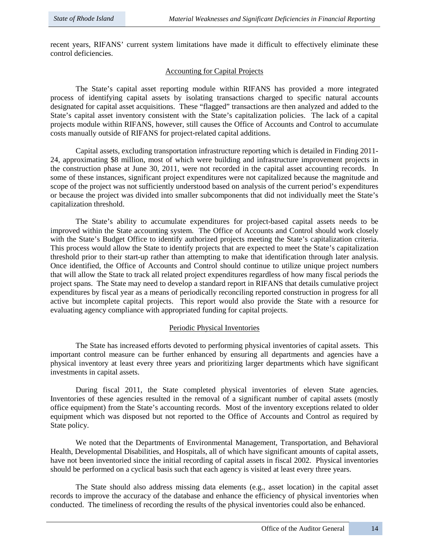recent years, RIFANS' current system limitations have made it difficult to effectively eliminate these control deficiencies.

### Accounting for Capital Projects

The State's capital asset reporting module within RIFANS has provided a more integrated process of identifying capital assets by isolating transactions charged to specific natural accounts designated for capital asset acquisitions. These "flagged" transactions are then analyzed and added to the State's capital asset inventory consistent with the State's capitalization policies. The lack of a capital projects module within RIFANS, however, still causes the Office of Accounts and Control to accumulate costs manually outside of RIFANS for project-related capital additions.

Capital assets, excluding transportation infrastructure reporting which is detailed in Finding 2011- 24, approximating \$8 million, most of which were building and infrastructure improvement projects in the construction phase at June 30, 2011, were not recorded in the capital asset accounting records. In some of these instances, significant project expenditures were not capitalized because the magnitude and scope of the project was not sufficiently understood based on analysis of the current period's expenditures or because the project was divided into smaller subcomponents that did not individually meet the State's capitalization threshold.

The State's ability to accumulate expenditures for project-based capital assets needs to be improved within the State accounting system. The Office of Accounts and Control should work closely with the State's Budget Office to identify authorized projects meeting the State's capitalization criteria. This process would allow the State to identify projects that are expected to meet the State's capitalization threshold prior to their start-up rather than attempting to make that identification through later analysis. Once identified, the Office of Accounts and Control should continue to utilize unique project numbers that will allow the State to track all related project expenditures regardless of how many fiscal periods the project spans. The State may need to develop a standard report in RIFANS that details cumulative project expenditures by fiscal year as a means of periodically reconciling reported construction in progress for all active but incomplete capital projects. This report would also provide the State with a resource for evaluating agency compliance with appropriated funding for capital projects.

### Periodic Physical Inventories

The State has increased efforts devoted to performing physical inventories of capital assets. This important control measure can be further enhanced by ensuring all departments and agencies have a physical inventory at least every three years and prioritizing larger departments which have significant investments in capital assets.

During fiscal 2011, the State completed physical inventories of eleven State agencies. Inventories of these agencies resulted in the removal of a significant number of capital assets (mostly office equipment) from the State's accounting records. Most of the inventory exceptions related to older equipment which was disposed but not reported to the Office of Accounts and Control as required by State policy.

We noted that the Departments of Environmental Management, Transportation, and Behavioral Health, Developmental Disabilities, and Hospitals, all of which have significant amounts of capital assets, have not been inventoried since the initial recording of capital assets in fiscal 2002. Physical inventories should be performed on a cyclical basis such that each agency is visited at least every three years.

The State should also address missing data elements (e.g., asset location) in the capital asset records to improve the accuracy of the database and enhance the efficiency of physical inventories when conducted. The timeliness of recording the results of the physical inventories could also be enhanced.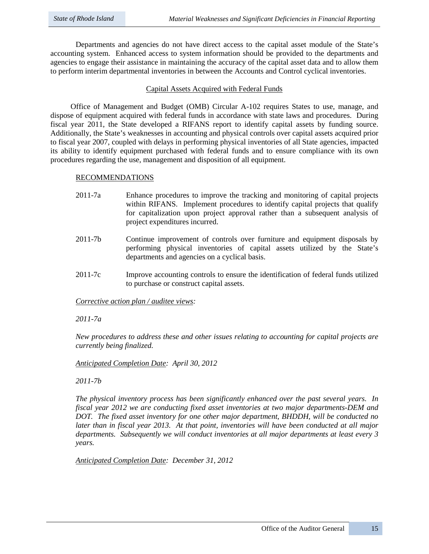Departments and agencies do not have direct access to the capital asset module of the State's accounting system. Enhanced access to system information should be provided to the departments and agencies to engage their assistance in maintaining the accuracy of the capital asset data and to allow them to perform interim departmental inventories in between the Accounts and Control cyclical inventories.

### Capital Assets Acquired with Federal Funds

Office of Management and Budget (OMB) Circular A-102 requires States to use, manage, and dispose of equipment acquired with federal funds in accordance with state laws and procedures. During fiscal year 2011, the State developed a RIFANS report to identify capital assets by funding source. Additionally, the State's weaknesses in accounting and physical controls over capital assets acquired prior to fiscal year 2007, coupled with delays in performing physical inventories of all State agencies, impacted its ability to identify equipment purchased with federal funds and to ensure compliance with its own procedures regarding the use, management and disposition of all equipment.

### RECOMMENDATIONS

- 2011-7a Enhance procedures to improve the tracking and monitoring of capital projects within RIFANS. Implement procedures to identify capital projects that qualify for capitalization upon project approval rather than a subsequent analysis of project expenditures incurred.
- 2011-7b Continue improvement of controls over furniture and equipment disposals by performing physical inventories of capital assets utilized by the State's departments and agencies on a cyclical basis.
- 2011-7c Improve accounting controls to ensure the identification of federal funds utilized to purchase or construct capital assets.

*Corrective action plan / auditee views:* 

*2011-7a*

*New procedures to address these and other issues relating to accounting for capital projects are currently being finalized.*

*Anticipated Completion Date: April 30, 2012* 

*2011-7b*

*The physical inventory process has been significantly enhanced over the past several years. In fiscal year 2012 we are conducting fixed asset inventories at two major departments-DEM and DOT. The fixed asset inventory for one other major department, BHDDH, will be conducted no later than in fiscal year 2013. At that point, inventories will have been conducted at all major departments. Subsequently we will conduct inventories at all major departments at least every 3 years.* 

*Anticipated Completion Date: December 31, 2012*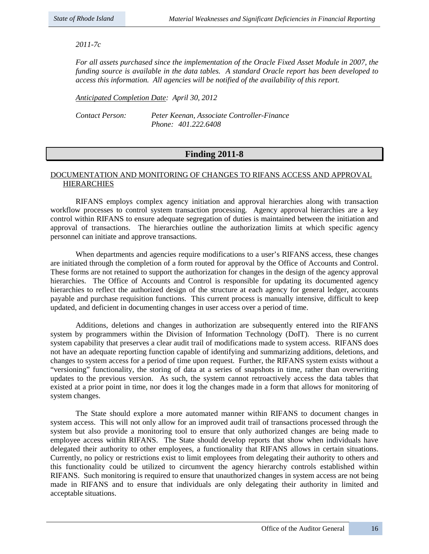### *2011-7c*

*For all assets purchased since the implementation of the Oracle Fixed Asset Module in 2007, the funding source is available in the data tables. A standard Oracle report has been developed to access this information. All agencies will be notified of the availability of this report.*

*Anticipated Completion Date: April 30, 2012* 

*Contact Person: Peter Keenan, Associate Controller-Finance Phone: 401.222.6408*

### **Finding 2011-8**

### DOCUMENTATION AND MONITORING OF CHANGES TO RIFANS ACCESS AND APPROVAL HIERARCHIES

RIFANS employs complex agency initiation and approval hierarchies along with transaction workflow processes to control system transaction processing. Agency approval hierarchies are a key control within RIFANS to ensure adequate segregation of duties is maintained between the initiation and approval of transactions. The hierarchies outline the authorization limits at which specific agency personnel can initiate and approve transactions.

When departments and agencies require modifications to a user's RIFANS access, these changes are initiated through the completion of a form routed for approval by the Office of Accounts and Control. These forms are not retained to support the authorization for changes in the design of the agency approval hierarchies. The Office of Accounts and Control is responsible for updating its documented agency hierarchies to reflect the authorized design of the structure at each agency for general ledger, accounts payable and purchase requisition functions. This current process is manually intensive, difficult to keep updated, and deficient in documenting changes in user access over a period of time.

Additions, deletions and changes in authorization are subsequently entered into the RIFANS system by programmers within the Division of Information Technology (DoIT). There is no current system capability that preserves a clear audit trail of modifications made to system access. RIFANS does not have an adequate reporting function capable of identifying and summarizing additions, deletions, and changes to system access for a period of time upon request. Further, the RIFANS system exists without a "versioning" functionality, the storing of data at a series of snapshots in time, rather than overwriting updates to the previous version. As such, the system cannot retroactively access the data tables that existed at a prior point in time, nor does it log the changes made in a form that allows for monitoring of system changes.

The State should explore a more automated manner within RIFANS to document changes in system access. This will not only allow for an improved audit trail of transactions processed through the system but also provide a monitoring tool to ensure that only authorized changes are being made to employee access within RIFANS. The State should develop reports that show when individuals have delegated their authority to other employees, a functionality that RIFANS allows in certain situations. Currently, no policy or restrictions exist to limit employees from delegating their authority to others and this functionality could be utilized to circumvent the agency hierarchy controls established within RIFANS. Such monitoring is required to ensure that unauthorized changes in system access are not being made in RIFANS and to ensure that individuals are only delegating their authority in limited and acceptable situations.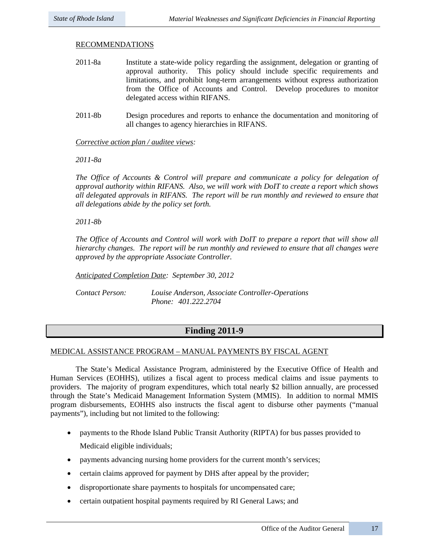#### RECOMMENDATIONS

- 2011-8a Institute a state-wide policy regarding the assignment, delegation or granting of approval authority. This policy should include specific requirements and limitations, and prohibit long-term arrangements without express authorization from the Office of Accounts and Control. Develop procedures to monitor delegated access within RIFANS.
- 2011-8b Design procedures and reports to enhance the documentation and monitoring of all changes to agency hierarchies in RIFANS.

#### *Corrective action plan / auditee views:*

*2011-8a* 

*The Office of Accounts & Control will prepare and communicate a policy for delegation of approval authority within RIFANS. Also, we will work with DoIT to create a report which shows all delegated approvals in RIFANS. The report will be run monthly and reviewed to ensure that all delegations abide by the policy set forth.*

*2011-8b* 

*The Office of Accounts and Control will work with DoIT to prepare a report that will show all hierarchy changes. The report will be run monthly and reviewed to ensure that all changes were approved by the appropriate Associate Controller.*

*Anticipated Completion Date: September 30, 2012*

*Contact Person: Louise Anderson, Associate Controller-Operations Phone: 401.222.2704*

### **Finding 2011-9**

### MEDICAL ASSISTANCE PROGRAM – MANUAL PAYMENTS BY FISCAL AGENT

The State's Medical Assistance Program, administered by the Executive Office of Health and Human Services (EOHHS), utilizes a fiscal agent to process medical claims and issue payments to providers. The majority of program expenditures, which total nearly \$2 billion annually, are processed through the State's Medicaid Management Information System (MMIS). In addition to normal MMIS program disbursements, EOHHS also instructs the fiscal agent to disburse other payments ("manual payments"), including but not limited to the following:

- payments to the Rhode Island Public Transit Authority (RIPTA) for bus passes provided to Medicaid eligible individuals;
- payments advancing nursing home providers for the current month's services;
- certain claims approved for payment by DHS after appeal by the provider;
- disproportionate share payments to hospitals for uncompensated care;
- certain outpatient hospital payments required by RI General Laws; and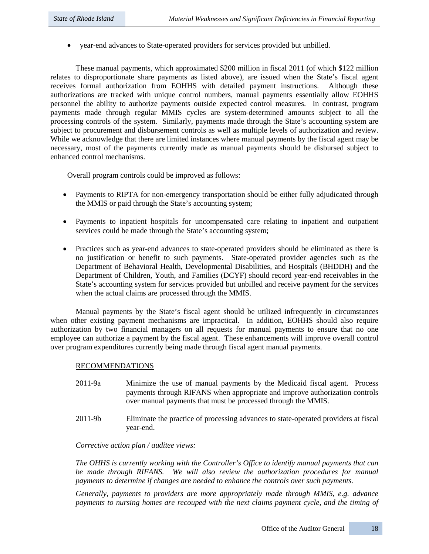• year-end advances to State-operated providers for services provided but unbilled.

These manual payments, which approximated \$200 million in fiscal 2011 (of which \$122 million relates to disproportionate share payments as listed above), are issued when the State's fiscal agent receives formal authorization from EOHHS with detailed payment instructions. Although these authorizations are tracked with unique control numbers, manual payments essentially allow EOHHS personnel the ability to authorize payments outside expected control measures. In contrast, program payments made through regular MMIS cycles are system-determined amounts subject to all the processing controls of the system. Similarly, payments made through the State's accounting system are subject to procurement and disbursement controls as well as multiple levels of authorization and review. While we acknowledge that there are limited instances where manual payments by the fiscal agent may be necessary, most of the payments currently made as manual payments should be disbursed subject to enhanced control mechanisms.

Overall program controls could be improved as follows:

- Payments to RIPTA for non-emergency transportation should be either fully adjudicated through the MMIS or paid through the State's accounting system;
- Payments to inpatient hospitals for uncompensated care relating to inpatient and outpatient services could be made through the State's accounting system;
- Practices such as year-end advances to state-operated providers should be eliminated as there is no justification or benefit to such payments. State-operated provider agencies such as the Department of Behavioral Health, Developmental Disabilities, and Hospitals (BHDDH) and the Department of Children, Youth, and Families (DCYF) should record year-end receivables in the State's accounting system for services provided but unbilled and receive payment for the services when the actual claims are processed through the MMIS.

Manual payments by the State's fiscal agent should be utilized infrequently in circumstances when other existing payment mechanisms are impractical. In addition, EOHHS should also require authorization by two financial managers on all requests for manual payments to ensure that no one employee can authorize a payment by the fiscal agent. These enhancements will improve overall control over program expenditures currently being made through fiscal agent manual payments.

### RECOMMENDATIONS

- 2011-9a Minimize the use of manual payments by the Medicaid fiscal agent. Process payments through RIFANS when appropriate and improve authorization controls over manual payments that must be processed through the MMIS.
- 2011-9b Eliminate the practice of processing advances to state-operated providers at fiscal year-end.

### *Corrective action plan / auditee views:*

*The OHHS is currently working with the Controller's Office to identify manual payments that can be made through RIFANS. We will also review the authorization procedures for manual payments to determine if changes are needed to enhance the controls over such payments.* 

*Generally, payments to providers are more appropriately made through MMIS, e.g. advance payments to nursing homes are recouped with the next claims payment cycle, and the timing of*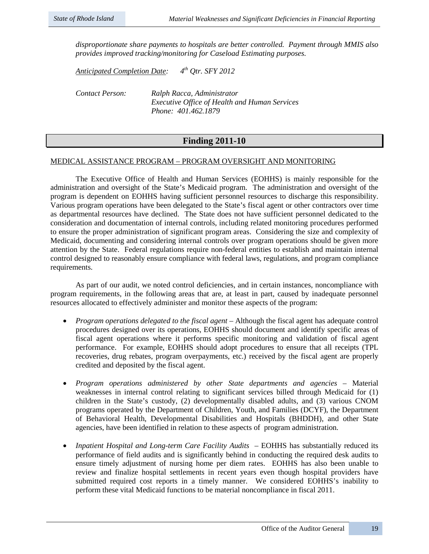*disproportionate share payments to hospitals are better controlled. Payment through MMIS also provides improved tracking/monitoring for Caseload Estimating purposes.* 

*Anticipated Completion Date: 4th Qtr. SFY 2012*

*Contact Person: Ralph Racca, Administrator Executive Office of Health and Human Services Phone: 401.462.1879* 

### **Finding 2011-10**

### MEDICAL ASSISTANCE PROGRAM – PROGRAM OVERSIGHT AND MONITORING

The Executive Office of Health and Human Services (EOHHS) is mainly responsible for the administration and oversight of the State's Medicaid program. The administration and oversight of the program is dependent on EOHHS having sufficient personnel resources to discharge this responsibility. Various program operations have been delegated to the State's fiscal agent or other contractors over time as departmental resources have declined. The State does not have sufficient personnel dedicated to the consideration and documentation of internal controls, including related monitoring procedures performed to ensure the proper administration of significant program areas. Considering the size and complexity of Medicaid, documenting and considering internal controls over program operations should be given more attention by the State. Federal regulations require non-federal entities to establish and maintain internal control designed to reasonably ensure compliance with federal laws, regulations, and program compliance requirements.

As part of our audit, we noted control deficiencies, and in certain instances, noncompliance with program requirements, in the following areas that are, at least in part, caused by inadequate personnel resources allocated to effectively administer and monitor these aspects of the program:

- *Program operations delegated to the fiscal agent* Although the fiscal agent has adequate control procedures designed over its operations, EOHHS should document and identify specific areas of fiscal agent operations where it performs specific monitoring and validation of fiscal agent performance. For example, EOHHS should adopt procedures to ensure that all receipts (TPL recoveries, drug rebates, program overpayments, etc.) received by the fiscal agent are properly credited and deposited by the fiscal agent.
- *Program operations administered by other State departments and agencies* Material weaknesses in internal control relating to significant services billed through Medicaid for (1) children in the State's custody, (2) developmentally disabled adults, and (3) various CNOM programs operated by the Department of Children, Youth, and Families (DCYF), the Department of Behavioral Health, Developmental Disabilities and Hospitals (BHDDH), and other State agencies, have been identified in relation to these aspects of program administration.
- *Inpatient Hospital and Long-term Care Facility Audits*  EOHHS has substantially reduced its performance of field audits and is significantly behind in conducting the required desk audits to ensure timely adjustment of nursing home per diem rates. EOHHS has also been unable to review and finalize hospital settlements in recent years even though hospital providers have submitted required cost reports in a timely manner. We considered EOHHS's inability to perform these vital Medicaid functions to be material noncompliance in fiscal 2011.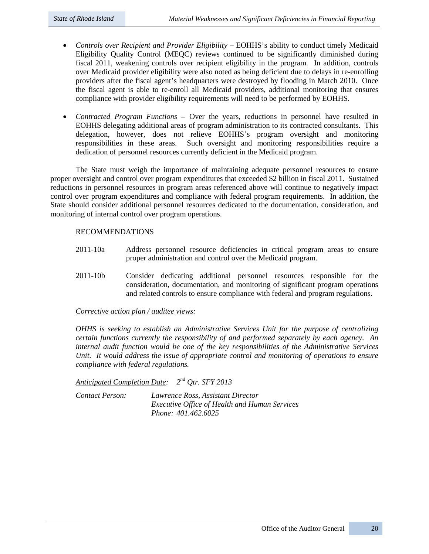- *Controls over Recipient and Provider Eligibility* EOHHS's ability to conduct timely Medicaid Eligibility Quality Control (MEQC) reviews continued to be significantly diminished during fiscal 2011, weakening controls over recipient eligibility in the program. In addition, controls over Medicaid provider eligibility were also noted as being deficient due to delays in re-enrolling providers after the fiscal agent's headquarters were destroyed by flooding in March 2010. Once the fiscal agent is able to re-enroll all Medicaid providers, additional monitoring that ensures compliance with provider eligibility requirements will need to be performed by EOHHS.
- *Contracted Program Functions* Over the years, reductions in personnel have resulted in EOHHS delegating additional areas of program administration to its contracted consultants. This delegation, however, does not relieve EOHHS's program oversight and monitoring responsibilities in these areas. Such oversight and monitoring responsibilities require a dedication of personnel resources currently deficient in the Medicaid program.

The State must weigh the importance of maintaining adequate personnel resources to ensure proper oversight and control over program expenditures that exceeded \$2 billion in fiscal 2011. Sustained reductions in personnel resources in program areas referenced above will continue to negatively impact control over program expenditures and compliance with federal program requirements. In addition, the State should consider additional personnel resources dedicated to the documentation, consideration, and monitoring of internal control over program operations.

### RECOMMENDATIONS

- 2011-10a Address personnel resource deficiencies in critical program areas to ensure proper administration and control over the Medicaid program.
- 2011-10b Consider dedicating additional personnel resources responsible for the consideration, documentation, and monitoring of significant program operations and related controls to ensure compliance with federal and program regulations.

### *Corrective action plan / auditee views:*

*OHHS is seeking to establish an Administrative Services Unit for the purpose of centralizing certain functions currently the responsibility of and performed separately by each agency. An internal audit function would be one of the key responsibilities of the Administrative Services Unit. It would address the issue of appropriate control and monitoring of operations to ensure compliance with federal regulations.* 

*Anticipated Completion Date: 2nd Qtr. SFY 2013*

*Contact Person: Lawrence Ross, Assistant Director Executive Office of Health and Human Services Phone: 401.462.6025*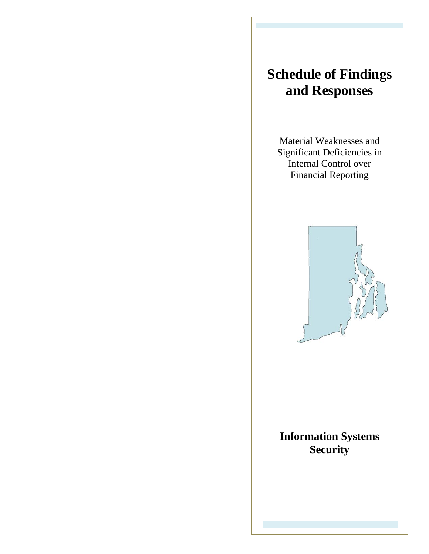# **Schedule of Findings and Responses**

Material Weaknesses and Significant Deficiencies in Internal Control over Financial Reporting



# **Information Systems Security**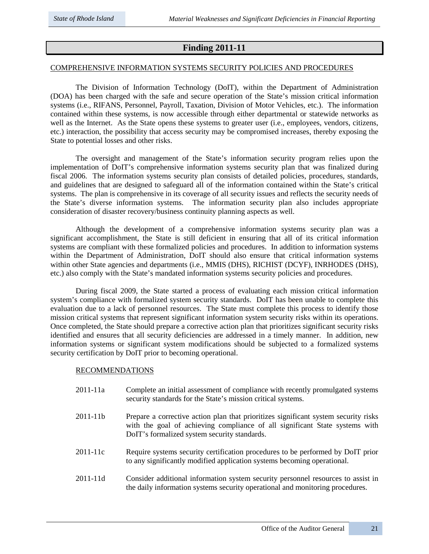### **Finding 2011-11**

#### COMPREHENSIVE INFORMATION SYSTEMS SECURITY POLICIES AND PROCEDURES

The Division of Information Technology (DoIT), within the Department of Administration (DOA) has been charged with the safe and secure operation of the State's mission critical information systems (i.e., RIFANS, Personnel, Payroll, Taxation, Division of Motor Vehicles, etc.). The information contained within these systems, is now accessible through either departmental or statewide networks as well as the Internet. As the State opens these systems to greater user (i.e., employees, vendors, citizens, etc.) interaction, the possibility that access security may be compromised increases, thereby exposing the State to potential losses and other risks.

The oversight and management of the State's information security program relies upon the implementation of DoIT's comprehensive information systems security plan that was finalized during fiscal 2006. The information systems security plan consists of detailed policies, procedures, standards, and guidelines that are designed to safeguard all of the information contained within the State's critical systems. The plan is comprehensive in its coverage of all security issues and reflects the security needs of the State's diverse information systems. The information security plan also includes appropriate consideration of disaster recovery/business continuity planning aspects as well.

Although the development of a comprehensive information systems security plan was a significant accomplishment, the State is still deficient in ensuring that all of its critical information systems are compliant with these formalized policies and procedures. In addition to information systems within the Department of Administration, DoIT should also ensure that critical information systems within other State agencies and departments (i.e., MMIS (DHS), RICHIST (DCYF), INRHODES (DHS), etc.) also comply with the State's mandated information systems security policies and procedures.

During fiscal 2009, the State started a process of evaluating each mission critical information system's compliance with formalized system security standards. DoIT has been unable to complete this evaluation due to a lack of personnel resources. The State must complete this process to identify those mission critical systems that represent significant information system security risks within its operations. Once completed, the State should prepare a corrective action plan that prioritizes significant security risks identified and ensures that all security deficiencies are addressed in a timely manner. In addition, new information systems or significant system modifications should be subjected to a formalized systems security certification by DoIT prior to becoming operational.

### RECOMMENDATIONS

- 2011-11a Complete an initial assessment of compliance with recently promulgated systems security standards for the State's mission critical systems.
- 2011-11b Prepare a corrective action plan that prioritizes significant system security risks with the goal of achieving compliance of all significant State systems with DoIT's formalized system security standards.
- 2011-11c Require systems security certification procedures to be performed by DoIT prior to any significantly modified application systems becoming operational.
- 2011-11d Consider additional information system security personnel resources to assist in the daily information systems security operational and monitoring procedures.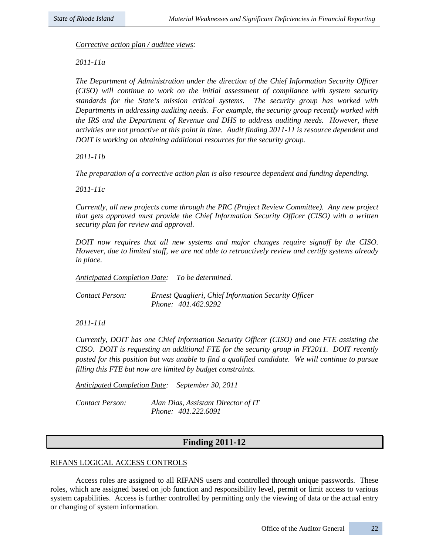*Corrective action plan / auditee views:* 

*2011-11a* 

*The Department of Administration under the direction of the Chief Information Security Officer (CISO) will continue to work on the initial assessment of compliance with system security standards for the State's mission critical systems. The security group has worked with Departments in addressing auditing needs. For example, the security group recently worked with the IRS and the Department of Revenue and DHS to address auditing needs. However, these activities are not proactive at this point in time. Audit finding 2011-11 is resource dependent and DOIT is working on obtaining additional resources for the security group.*

*2011-11b*

*The preparation of a corrective action plan is also resource dependent and funding depending.* 

*2011-11c*

*Currently, all new projects come through the PRC (Project Review Committee). Any new project that gets approved must provide the Chief Information Security Officer (CISO) with a written security plan for review and approval.* 

*DOIT now requires that all new systems and major changes require signoff by the CISO. However, due to limited staff, we are not able to retroactively review and certify systems already in place.*

*Anticipated Completion Date: To be determined.*

*Contact Person: Ernest Quaglieri, Chief Information Security Officer Phone: 401.462.9292*

*2011-11d*

*Currently, DOIT has one Chief Information Security Officer (CISO) and one FTE assisting the CISO. DOIT is requesting an additional FTE for the security group in FY2011. DOIT recently posted for this position but was unable to find a qualified candidate. We will continue to pursue filling this FTE but now are limited by budget constraints.*

*Anticipated Completion Date: September 30, 2011*

*Contact Person: Alan Dias, Assistant Director of IT Phone: 401.222.6091*

### **Finding 2011-12**

### RIFANS LOGICAL ACCESS CONTROLS

Access roles are assigned to all RIFANS users and controlled through unique passwords. These roles, which are assigned based on job function and responsibility level, permit or limit access to various system capabilities. Access is further controlled by permitting only the viewing of data or the actual entry or changing of system information.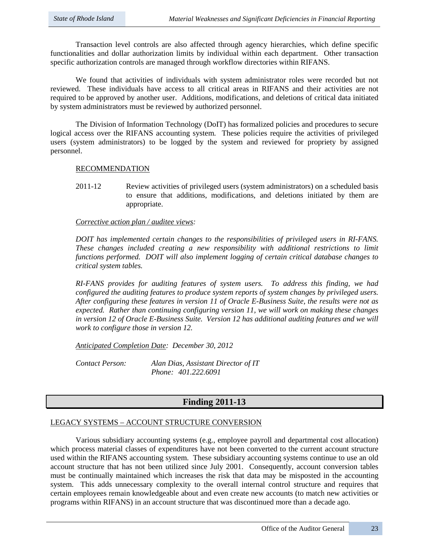Transaction level controls are also affected through agency hierarchies, which define specific functionalities and dollar authorization limits by individual within each department. Other transaction specific authorization controls are managed through workflow directories within RIFANS.

We found that activities of individuals with system administrator roles were recorded but not reviewed. These individuals have access to all critical areas in RIFANS and their activities are not required to be approved by another user. Additions, modifications, and deletions of critical data initiated by system administrators must be reviewed by authorized personnel.

The Division of Information Technology (DoIT) has formalized policies and procedures to secure logical access over the RIFANS accounting system. These policies require the activities of privileged users (system administrators) to be logged by the system and reviewed for propriety by assigned personnel.

### RECOMMENDATION

2011-12 Review activities of privileged users (system administrators) on a scheduled basis to ensure that additions, modifications, and deletions initiated by them are appropriate.

### *Corrective action plan / auditee views:*

*DOIT has implemented certain changes to the responsibilities of privileged users in RI-FANS. These changes included creating a new responsibility with additional restrictions to limit functions performed. DOIT will also implement logging of certain critical database changes to critical system tables.* 

*RI-FANS provides for auditing features of system users. To address this finding, we had configured the auditing features to produce system reports of system changes by privileged users. After configuring these features in version 11 of Oracle E-Business Suite, the results were not as expected. Rather than continuing configuring version 11, we will work on making these changes in version 12 of Oracle E-Business Suite. Version 12 has additional auditing features and we will work to configure those in version 12.*

*Anticipated Completion Date: December 30, 2012*

*Contact Person: Alan Dias, Assistant Director of IT Phone: 401.222.6091*

### **Finding 2011-13**

### LEGACY SYSTEMS – ACCOUNT STRUCTURE CONVERSION

Various subsidiary accounting systems (e.g., employee payroll and departmental cost allocation) which process material classes of expenditures have not been converted to the current account structure used within the RIFANS accounting system. These subsidiary accounting systems continue to use an old account structure that has not been utilized since July 2001. Consequently, account conversion tables must be continually maintained which increases the risk that data may be misposted in the accounting system. This adds unnecessary complexity to the overall internal control structure and requires that certain employees remain knowledgeable about and even create new accounts (to match new activities or programs within RIFANS) in an account structure that was discontinued more than a decade ago.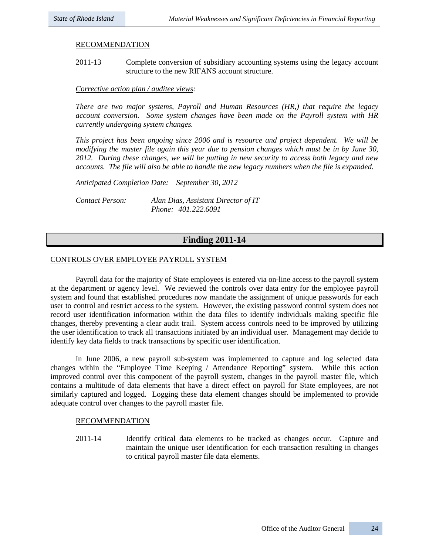### RECOMMENDATION

2011-13 Complete conversion of subsidiary accounting systems using the legacy account structure to the new RIFANS account structure.

### *Corrective action plan / auditee views:*

*There are two major systems, Payroll and Human Resources (HR,) that require the legacy account conversion. Some system changes have been made on the Payroll system with HR currently undergoing system changes.* 

*This project has been ongoing since 2006 and is resource and project dependent. We will be modifying the master file again this year due to pension changes which must be in by June 30, 2012. During these changes, we will be putting in new security to access both legacy and new accounts. The file will also be able to handle the new legacy numbers when the file is expanded.* 

*Anticipated Completion Date: September 30, 2012*

*Contact Person: Alan Dias, Assistant Director of IT Phone: 401.222.6091*

### **Finding 2011-14**

### CONTROLS OVER EMPLOYEE PAYROLL SYSTEM

Payroll data for the majority of State employees is entered via on-line access to the payroll system at the department or agency level. We reviewed the controls over data entry for the employee payroll system and found that established procedures now mandate the assignment of unique passwords for each user to control and restrict access to the system. However, the existing password control system does not record user identification information within the data files to identify individuals making specific file changes, thereby preventing a clear audit trail. System access controls need to be improved by utilizing the user identification to track all transactions initiated by an individual user. Management may decide to identify key data fields to track transactions by specific user identification.

In June 2006, a new payroll sub-system was implemented to capture and log selected data changes within the "Employee Time Keeping / Attendance Reporting" system. While this action improved control over this component of the payroll system, changes in the payroll master file, which contains a multitude of data elements that have a direct effect on payroll for State employees, are not similarly captured and logged. Logging these data element changes should be implemented to provide adequate control over changes to the payroll master file.

### RECOMMENDATION

2011-14 Identify critical data elements to be tracked as changes occur. Capture and maintain the unique user identification for each transaction resulting in changes to critical payroll master file data elements.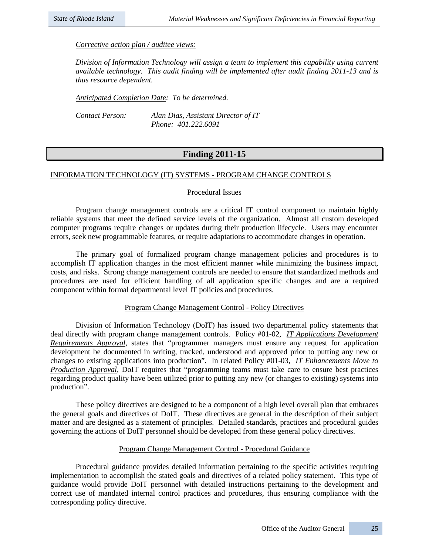### *Corrective action plan / auditee views:*

*Division of Information Technology will assign a team to implement this capability using current available technology. This audit finding will be implemented after audit finding 2011-13 and is thus resource dependent.*

*Anticipated Completion Date: To be determined.* 

*Contact Person: Alan Dias, Assistant Director of IT Phone: 401.222.6091*

### **Finding 2011-15**

### INFORMATION TECHNOLOGY (IT) SYSTEMS - PROGRAM CHANGE CONTROLS

### Procedural Issues

Program change management controls are a critical IT control component to maintain highly reliable systems that meet the defined service levels of the organization. Almost all custom developed computer programs require changes or updates during their production lifecycle. Users may encounter errors, seek new programmable features, or require adaptations to accommodate changes in operation.

The primary goal of formalized program change management policies and procedures is to accomplish IT application changes in the most efficient manner while minimizing the business impact, costs, and risks. Strong change management controls are needed to ensure that standardized methods and procedures are used for efficient handling of all application specific changes and are a required component within formal departmental level IT policies and procedures.

### Program Change Management Control - Policy Directives

Division of Information Technology (DoIT) has issued two departmental policy statements that deal directly with program change management controls. Policy #01-02, *IT Applications Development Requirements Approval*, states that "programmer managers must ensure any request for application development be documented in writing, tracked, understood and approved prior to putting any new or changes to existing applications into production". In related Policy #01-03, *IT Enhancements Move to Production Approval*, DoIT requires that "programming teams must take care to ensure best practices regarding product quality have been utilized prior to putting any new (or changes to existing) systems into production".

These policy directives are designed to be a component of a high level overall plan that embraces the general goals and directives of DoIT. These directives are general in the description of their subject matter and are designed as a statement of principles. Detailed standards, practices and procedural guides governing the actions of DoIT personnel should be developed from these general policy directives.

### Program Change Management Control - Procedural Guidance

Procedural guidance provides detailed information pertaining to the specific activities requiring implementation to accomplish the stated goals and directives of a related policy statement. This type of guidance would provide DoIT personnel with detailed instructions pertaining to the development and correct use of mandated internal control practices and procedures, thus ensuring compliance with the corresponding policy directive.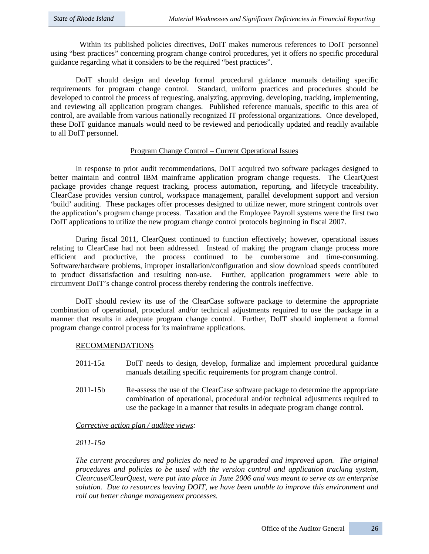Within its published policies directives, DoIT makes numerous references to DoIT personnel using "best practices" concerning program change control procedures, yet it offers no specific procedural guidance regarding what it considers to be the required "best practices".

DoIT should design and develop formal procedural guidance manuals detailing specific requirements for program change control. Standard, uniform practices and procedures should be developed to control the process of requesting, analyzing, approving, developing, tracking, implementing, and reviewing all application program changes. Published reference manuals, specific to this area of control, are available from various nationally recognized IT professional organizations. Once developed, these DoIT guidance manuals would need to be reviewed and periodically updated and readily available to all DoIT personnel.

### Program Change Control – Current Operational Issues

In response to prior audit recommendations, DoIT acquired two software packages designed to better maintain and control IBM mainframe application program change requests. The ClearQuest package provides change request tracking, process automation, reporting, and lifecycle traceability. ClearCase provides version control, workspace management, parallel development support and version 'build' auditing. These packages offer processes designed to utilize newer, more stringent controls over the application's program change process. Taxation and the Employee Payroll systems were the first two DoIT applications to utilize the new program change control protocols beginning in fiscal 2007.

During fiscal 2011, ClearQuest continued to function effectively; however, operational issues relating to ClearCase had not been addressed. Instead of making the program change process more efficient and productive, the process continued to be cumbersome and time-consuming. Software/hardware problems, improper installation/configuration and slow download speeds contributed to product dissatisfaction and resulting non-use. Further, application programmers were able to circumvent DoIT's change control process thereby rendering the controls ineffective.

DoIT should review its use of the ClearCase software package to determine the appropriate combination of operational, procedural and/or technical adjustments required to use the package in a manner that results in adequate program change control. Further, DoIT should implement a formal program change control process for its mainframe applications.

### RECOMMENDATIONS

- 2011-15a DoIT needs to design, develop, formalize and implement procedural guidance manuals detailing specific requirements for program change control.
- 2011-15b Re-assess the use of the ClearCase software package to determine the appropriate combination of operational, procedural and/or technical adjustments required to use the package in a manner that results in adequate program change control.

### *Corrective action plan / auditee views:*

*2011-15a*

*The current procedures and policies do need to be upgraded and improved upon. The original procedures and policies to be used with the version control and application tracking system, Clearcase/ClearQuest, were put into place in June 2006 and was meant to serve as an enterprise solution. Due to resources leaving DOIT, we have been unable to improve this environment and roll out better change management processes.*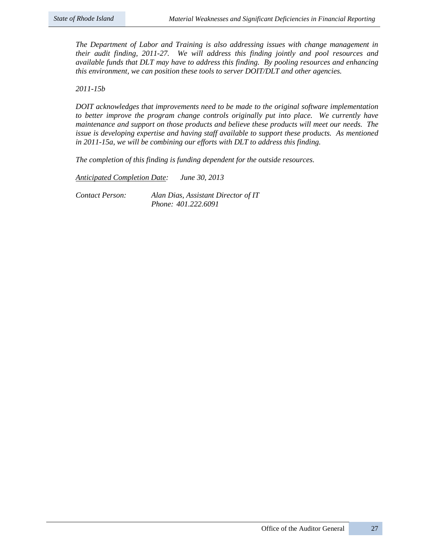*The Department of Labor and Training is also addressing issues with change management in their audit finding, 2011-27. We will address this finding jointly and pool resources and available funds that DLT may have to address this finding. By pooling resources and enhancing this environment, we can position these tools to server DOIT/DLT and other agencies.*

*2011-15b*

*DOIT acknowledges that improvements need to be made to the original software implementation to better improve the program change controls originally put into place. We currently have maintenance and support on those products and believe these products will meet our needs. The issue is developing expertise and having staff available to support these products. As mentioned in 2011-15a, we will be combining our efforts with DLT to address this finding.* 

*The completion of this finding is funding dependent for the outside resources.* 

*Anticipated Completion Date: June 30, 2013*

*Contact Person: Alan Dias, Assistant Director of IT Phone: 401.222.6091*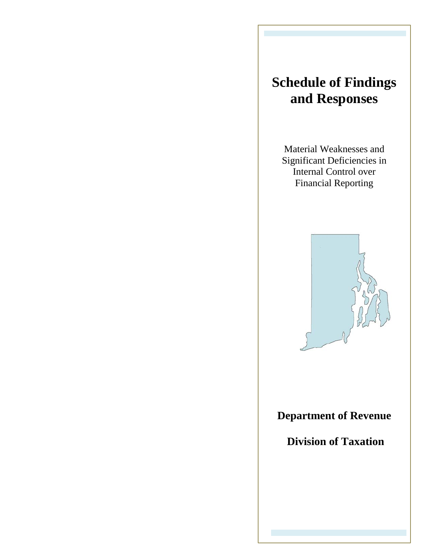# **Schedule of Findings and Responses**

Material Weaknesses and Significant Deficiencies in Internal Control over Financial Reporting



# **Department of Revenue**

**Division of Taxation**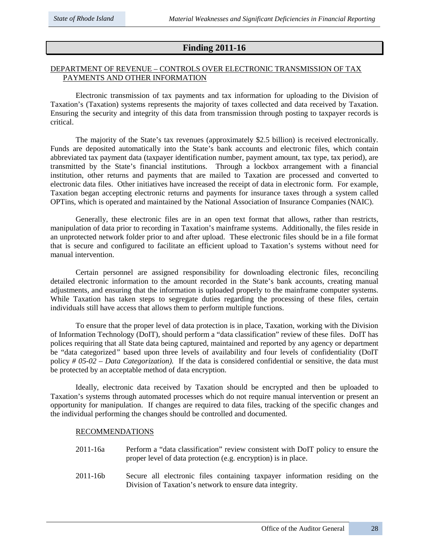### **Finding 2011-16**

### DEPARTMENT OF REVENUE – CONTROLS OVER ELECTRONIC TRANSMISSION OF TAX PAYMENTS AND OTHER INFORMATION

Electronic transmission of tax payments and tax information for uploading to the Division of Taxation's (Taxation) systems represents the majority of taxes collected and data received by Taxation. Ensuring the security and integrity of this data from transmission through posting to taxpayer records is critical.

The majority of the State's tax revenues (approximately \$2.5 billion) is received electronically. Funds are deposited automatically into the State's bank accounts and electronic files, which contain abbreviated tax payment data (taxpayer identification number, payment amount, tax type, tax period), are transmitted by the State's financial institutions. Through a lockbox arrangement with a financial institution, other returns and payments that are mailed to Taxation are processed and converted to electronic data files. Other initiatives have increased the receipt of data in electronic form. For example, Taxation began accepting electronic returns and payments for insurance taxes through a system called OPTins, which is operated and maintained by the National Association of Insurance Companies (NAIC).

Generally, these electronic files are in an open text format that allows, rather than restricts, manipulation of data prior to recording in Taxation's mainframe systems. Additionally, the files reside in an unprotected network folder prior to and after upload. These electronic files should be in a file format that is secure and configured to facilitate an efficient upload to Taxation's systems without need for manual intervention.

Certain personnel are assigned responsibility for downloading electronic files, reconciling detailed electronic information to the amount recorded in the State's bank accounts, creating manual adjustments, and ensuring that the information is uploaded properly to the mainframe computer systems. While Taxation has taken steps to segregate duties regarding the processing of these files, certain individuals still have access that allows them to perform multiple functions.

To ensure that the proper level of data protection is in place, Taxation, working with the Division of Information Technology (DoIT), should perform a "data classification" review of these files. DoIT has polices requiring that all State data being captured, maintained and reported by any agency or department be "data categorized*"* based upon three levels of availability and four levels of confidentiality (DoIT policy *# 05-02 – Data Categorization).* If the data is considered confidential or sensitive, the data must be protected by an acceptable method of data encryption.

Ideally, electronic data received by Taxation should be encrypted and then be uploaded to Taxation's systems through automated processes which do not require manual intervention or present an opportunity for manipulation. If changes are required to data files, tracking of the specific changes and the individual performing the changes should be controlled and documented.

### RECOMMENDATIONS

- 2011-16a Perform a "data classification" review consistent with DoIT policy to ensure the proper level of data protection (e.g. encryption) is in place.
- 2011-16b Secure all electronic files containing taxpayer information residing on the Division of Taxation's network to ensure data integrity.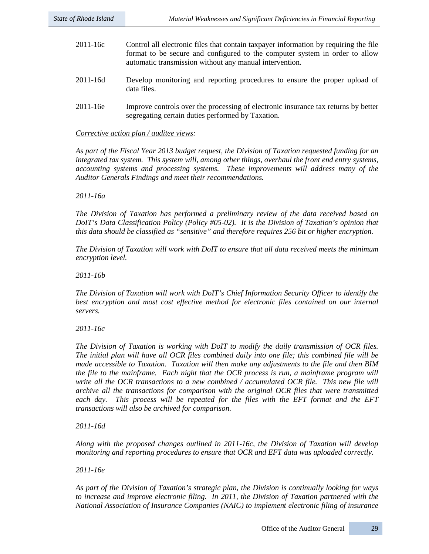- 2011-16c Control all electronic files that contain taxpayer information by requiring the file format to be secure and configured to the computer system in order to allow automatic transmission without any manual intervention. 2011-16d Develop monitoring and reporting procedures to ensure the proper upload of data files.
- 2011-16e Improve controls over the processing of electronic insurance tax returns by better segregating certain duties performed by Taxation.

### *Corrective action plan / auditee views:*

*As part of the Fiscal Year 2013 budget request, the Division of Taxation requested funding for an integrated tax system. This system will, among other things, overhaul the front end entry systems, accounting systems and processing systems. These improvements will address many of the Auditor Generals Findings and meet their recommendations.*

*2011-16a* 

*The Division of Taxation has performed a preliminary review of the data received based on DoIT's Data Classification Policy (Policy #05-02). It is the Division of Taxation's opinion that this data should be classified as "sensitive" and therefore requires 256 bit or higher encryption.* 

*The Division of Taxation will work with DoIT to ensure that all data received meets the minimum encryption level.*

*2011-16b*

*The Division of Taxation will work with DoIT's Chief Information Security Officer to identify the*  best encryption and most cost effective method for electronic files contained on our internal *servers.*

*2011-16c* 

*The Division of Taxation is working with DoIT to modify the daily transmission of OCR files. The initial plan will have all OCR files combined daily into one file; this combined file will be made accessible to Taxation. Taxation will then make any adjustments to the file and then BIM the file to the mainframe. Each night that the OCR process is run, a mainframe program will write all the OCR transactions to a new combined / accumulated OCR file. This new file will archive all the transactions for comparison with the original OCR files that were transmitted*  each day. This process will be repeated for the files with the EFT format and the EFT *transactions will also be archived for comparison.*

*2011-16d* 

*Along with the proposed changes outlined in 2011-16c, the Division of Taxation will develop monitoring and reporting procedures to ensure that OCR and EFT data was uploaded correctly.*

*2011-16e* 

*As part of the Division of Taxation's strategic plan, the Division is continually looking for ways to increase and improve electronic filing. In 2011, the Division of Taxation partnered with the National Association of Insurance Companies (NAIC) to implement electronic filing of insurance*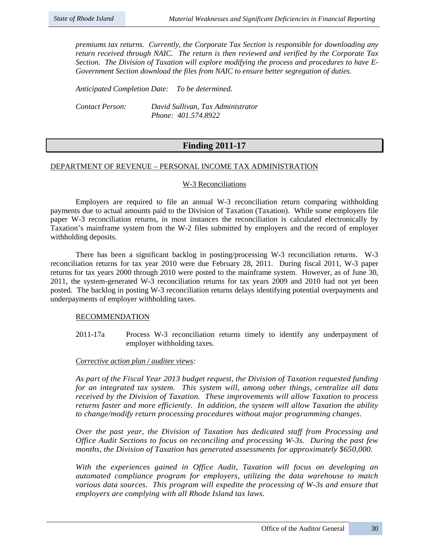*premiums tax returns. Currently, the Corporate Tax Section is responsible for downloading any return received through NAIC. The return is then reviewed and verified by the Corporate Tax Section. The Division of Taxation will explore modifying the process and procedures to have E-Government Section download the files from NAIC to ensure better segregation of duties.*

*Anticipated Completion Date: To be determined.*

*Contact Person: David Sullivan, Tax Administrator Phone: 401.574.8922*

### **Finding 2011-17**

### DEPARTMENT OF REVENUE – PERSONAL INCOME TAX ADMINISTRATION

### W-3 Reconciliations

Employers are required to file an annual W-3 reconciliation return comparing withholding payments due to actual amounts paid to the Division of Taxation (Taxation). While some employers file paper W-3 reconciliation returns, in most instances the reconciliation is calculated electronically by Taxation's mainframe system from the W-2 files submitted by employers and the record of employer withholding deposits.

There has been a significant backlog in posting/processing W-3 reconciliation returns. W-3 reconciliation returns for tax year 2010 were due February 28, 2011. During fiscal 2011, W-3 paper returns for tax years 2000 through 2010 were posted to the mainframe system. However, as of June 30, 2011, the system-generated W-3 reconciliation returns for tax years 2009 and 2010 had not yet been posted. The backlog in posting W-3 reconciliation returns delays identifying potential overpayments and underpayments of employer withholding taxes.

### RECOMMENDATION

2011-17a Process W-3 reconciliation returns timely to identify any underpayment of employer withholding taxes.

### *Corrective action plan / auditee views:*

*As part of the Fiscal Year 2013 budget request, the Division of Taxation requested funding for an integrated tax system. This system will, among other things, centralize all data received by the Division of Taxation. These improvements will allow Taxation to process returns faster and more efficiently. In addition, the system will allow Taxation the ability to change/modify return processing procedures without major programming changes.*

*Over the past year, the Division of Taxation has dedicated staff from Processing and Office Audit Sections to focus on reconciling and processing W-3s. During the past few months, the Division of Taxation has generated assessments for approximately \$650,000.*

*With the experiences gained in Office Audit, Taxation will focus on developing an automated compliance program for employers, utilizing the data warehouse to match various data sources. This program will expedite the processing of W-3s and ensure that employers are complying with all Rhode Island tax laws.*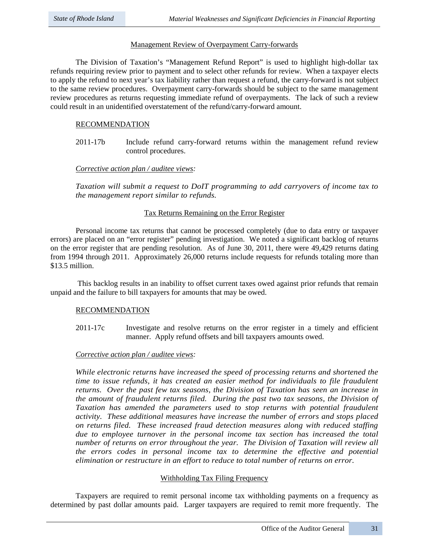## Management Review of Overpayment Carry-forwards

The Division of Taxation's "Management Refund Report" is used to highlight high-dollar tax refunds requiring review prior to payment and to select other refunds for review. When a taxpayer elects to apply the refund to next year's tax liability rather than request a refund, the carry-forward is not subject to the same review procedures. Overpayment carry-forwards should be subject to the same management review procedures as returns requesting immediate refund of overpayments. The lack of such a review could result in an unidentified overstatement of the refund/carry-forward amount.

## RECOMMENDATION

2011-17b Include refund carry-forward returns within the management refund review control procedures.

## *Corrective action plan / auditee views:*

*Taxation will submit a request to DoIT programming to add carryovers of income tax to the management report similar to refunds.*

## Tax Returns Remaining on the Error Register

Personal income tax returns that cannot be processed completely (due to data entry or taxpayer errors) are placed on an "error register" pending investigation. We noted a significant backlog of returns on the error register that are pending resolution. As of June 30, 2011, there were 49,429 returns dating from 1994 through 2011. Approximately 26,000 returns include requests for refunds totaling more than \$13.5 million.

This backlog results in an inability to offset current taxes owed against prior refunds that remain unpaid and the failure to bill taxpayers for amounts that may be owed.

## RECOMMENDATION

2011-17c Investigate and resolve returns on the error register in a timely and efficient manner. Apply refund offsets and bill taxpayers amounts owed.

## *Corrective action plan / auditee views:*

*While electronic returns have increased the speed of processing returns and shortened the time to issue refunds, it has created an easier method for individuals to file fraudulent returns. Over the past few tax seasons, the Division of Taxation has seen an increase in the amount of fraudulent returns filed. During the past two tax seasons, the Division of Taxation has amended the parameters used to stop returns with potential fraudulent activity. These additional measures have increase the number of errors and stops placed on returns filed. These increased fraud detection measures along with reduced staffing due to employee turnover in the personal income tax section has increased the total number of returns on error throughout the year. The Division of Taxation will review all the errors codes in personal income tax to determine the effective and potential elimination or restructure in an effort to reduce to total number of returns on error.* 

## Withholding Tax Filing Frequency

Taxpayers are required to remit personal income tax withholding payments on a frequency as determined by past dollar amounts paid. Larger taxpayers are required to remit more frequently. The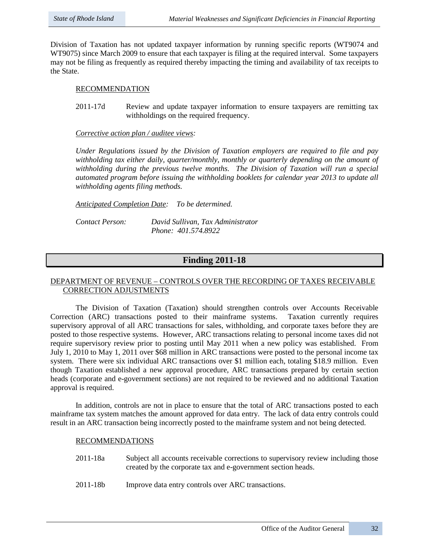Division of Taxation has not updated taxpayer information by running specific reports (WT9074 and WT9075) since March 2009 to ensure that each taxpayer is filing at the required interval. Some taxpayers may not be filing as frequently as required thereby impacting the timing and availability of tax receipts to the State.

## RECOMMENDATION

2011-17d Review and update taxpayer information to ensure taxpayers are remitting tax withholdings on the required frequency.

*Corrective action plan / auditee views:*

*Under Regulations issued by the Division of Taxation employers are required to file and pay withholding tax either daily, quarter/monthly, monthly or quarterly depending on the amount of withholding during the previous twelve months. The Division of Taxation will run a special automated program before issuing the withholding booklets for calendar year 2013 to update all withholding agents filing methods.*

*Anticipated Completion Date: To be determined.*

*Contact Person: David Sullivan, Tax Administrator Phone: 401.574.8922*

# **Finding 2011-18**

## DEPARTMENT OF REVENUE – CONTROLS OVER THE RECORDING OF TAXES RECEIVABLE CORRECTION ADJUSTMENTS

The Division of Taxation (Taxation) should strengthen controls over Accounts Receivable Correction (ARC) transactions posted to their mainframe systems. Taxation currently requires supervisory approval of all ARC transactions for sales, withholding, and corporate taxes before they are posted to those respective systems. However, ARC transactions relating to personal income taxes did not require supervisory review prior to posting until May 2011 when a new policy was established. From July 1, 2010 to May 1, 2011 over \$68 million in ARC transactions were posted to the personal income tax system. There were six individual ARC transactions over \$1 million each, totaling \$18.9 million. Even though Taxation established a new approval procedure, ARC transactions prepared by certain section heads (corporate and e-government sections) are not required to be reviewed and no additional Taxation approval is required.

In addition, controls are not in place to ensure that the total of ARC transactions posted to each mainframe tax system matches the amount approved for data entry. The lack of data entry controls could result in an ARC transaction being incorrectly posted to the mainframe system and not being detected.

## RECOMMENDATIONS

- 2011-18a Subject all accounts receivable corrections to supervisory review including those created by the corporate tax and e-government section heads.
- 2011-18b Improve data entry controls over ARC transactions.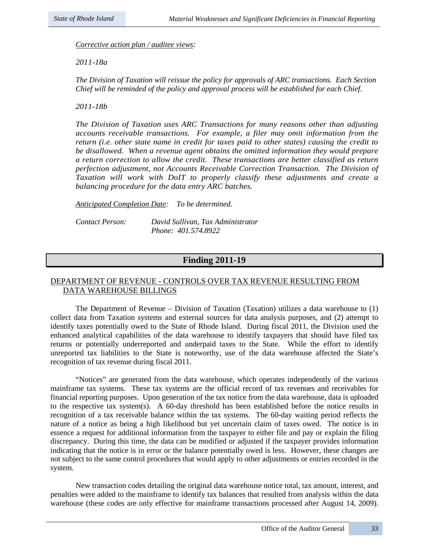*Corrective action plan / auditee views:*

*2011-18a*

*The Division of Taxation will reissue the policy for approvals of ARC transactions. Each Section Chief will be reminded of the policy and approval process will be established for each Chief.*

*2011-18b*

*The Division of Taxation uses ARC Transactions for many reasons other than adjusting accounts receivable transactions. For example, a filer may omit information from the return (i.e. other state name in credit for taxes paid to other states) causing the credit to be disallowed. When a revenue agent obtains the omitted information they would prepare a return correction to allow the credit. These transactions are better classified as return perfection adjustment, not Accounts Receivable Correction Transaction. The Division of Taxation will work with DoIT to properly classify these adjustments and create a balancing procedure for the data entry ARC batches.*

*Anticipated Completion Date: To be determined.*

*Contact Person: David Sullivan, Tax Administrator Phone: 401.574.8922*

# **Finding 2011-19**

## DEPARTMENT OF REVENUE - CONTROLS OVER TAX REVENUE RESULTING FROM DATA WAREHOUSE BILLINGS

The Department of Revenue – Division of Taxation (Taxation) utilizes a data warehouse to  $(1)$ collect data from Taxation systems and external sources for data analysis purposes, and (2) attempt to identify taxes potentially owed to the State of Rhode Island. During fiscal 2011, the Division used the enhanced analytical capabilities of the data warehouse to identify taxpayers that should have filed tax returns or potentially underreported and underpaid taxes to the State. While the effort to identify unreported tax liabilities to the State is noteworthy, use of the data warehouse affected the State's recognition of tax revenue during fiscal 2011.

"Notices" are generated from the data warehouse, which operates independently of the various mainframe tax systems. These tax systems are the official record of tax revenues and receivables for financial reporting purposes. Upon generation of the tax notice from the data warehouse, data is uploaded to the respective tax system(s). A 60-day threshold has been established before the notice results in recognition of a tax receivable balance within the tax systems. The 60-day waiting period reflects the nature of a notice as being a high likelihood but yet uncertain claim of taxes owed. The notice is in essence a request for additional information from the taxpayer to either file and pay or explain the filing discrepancy. During this time, the data can be modified or adjusted if the taxpayer provides information indicating that the notice is in error or the balance potentially owed is less. However, these changes are not subject to the same control procedures that would apply to other adjustments or entries recorded in the system.

New transaction codes detailing the original data warehouse notice total, tax amount, interest, and penalties were added to the mainframe to identify tax balances that resulted from analysis within the data warehouse (these codes are only effective for mainframe transactions processed after August 14, 2009).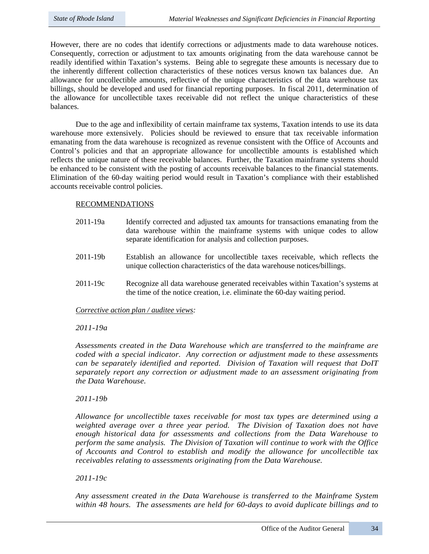However, there are no codes that identify corrections or adjustments made to data warehouse notices. Consequently, correction or adjustment to tax amounts originating from the data warehouse cannot be readily identified within Taxation's systems. Being able to segregate these amounts is necessary due to the inherently different collection characteristics of these notices versus known tax balances due. An allowance for uncollectible amounts, reflective of the unique characteristics of the data warehouse tax billings, should be developed and used for financial reporting purposes. In fiscal 2011, determination of the allowance for uncollectible taxes receivable did not reflect the unique characteristics of these balances.

Due to the age and inflexibility of certain mainframe tax systems, Taxation intends to use its data warehouse more extensively. Policies should be reviewed to ensure that tax receivable information emanating from the data warehouse is recognized as revenue consistent with the Office of Accounts and Control's policies and that an appropriate allowance for uncollectible amounts is established which reflects the unique nature of these receivable balances. Further, the Taxation mainframe systems should be enhanced to be consistent with the posting of accounts receivable balances to the financial statements. Elimination of the 60-day waiting period would result in Taxation's compliance with their established accounts receivable control policies.

## RECOMMENDATIONS

- 2011-19a Identify corrected and adjusted tax amounts for transactions emanating from the data warehouse within the mainframe systems with unique codes to allow separate identification for analysis and collection purposes.
- 2011-19b Establish an allowance for uncollectible taxes receivable, which reflects the unique collection characteristics of the data warehouse notices/billings.
- 2011-19c Recognize all data warehouse generated receivables within Taxation's systems at the time of the notice creation, i.e. eliminate the 60-day waiting period.

*Corrective action plan / auditee views:*

## *2011-19a*

*Assessments created in the Data Warehouse which are transferred to the mainframe are coded with a special indicator. Any correction or adjustment made to these assessments can be separately identified and reported. Division of Taxation will request that DoIT separately report any correction or adjustment made to an assessment originating from the Data Warehouse.* 

## *2011-19b*

*Allowance for uncollectible taxes receivable for most tax types are determined using a weighted average over a three year period. The Division of Taxation does not have enough historical data for assessments and collections from the Data Warehouse to perform the same analysis. The Division of Taxation will continue to work with the Office of Accounts and Control to establish and modify the allowance for uncollectible tax receivables relating to assessments originating from the Data Warehouse.*

*2011-19c* 

*Any assessment created in the Data Warehouse is transferred to the Mainframe System within 48 hours. The assessments are held for 60-days to avoid duplicate billings and to*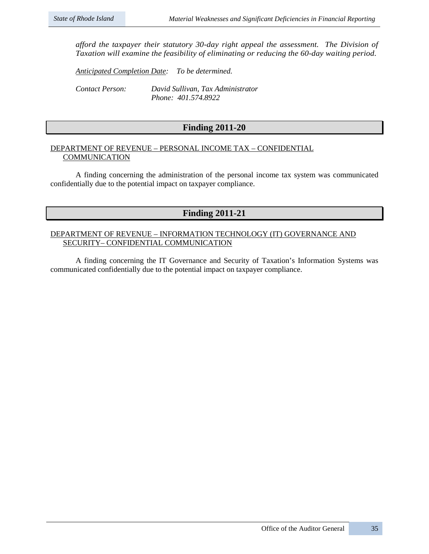*afford the taxpayer their statutory 30-day right appeal the assessment. The Division of Taxation will examine the feasibility of eliminating or reducing the 60-day waiting period.*

*Anticipated Completion Date: To be determined.*

*Contact Person: David Sullivan, Tax Administrator Phone: 401.574.8922*

# **Finding 2011-20**

## DEPARTMENT OF REVENUE – PERSONAL INCOME TAX – CONFIDENTIAL **COMMUNICATION**

A finding concerning the administration of the personal income tax system was communicated confidentially due to the potential impact on taxpayer compliance.

# **Finding 2011-21**

## DEPARTMENT OF REVENUE – INFORMATION TECHNOLOGY (IT) GOVERNANCE AND SECURITY– CONFIDENTIAL COMMUNICATION

A finding concerning the IT Governance and Security of Taxation's Information Systems was communicated confidentially due to the potential impact on taxpayer compliance.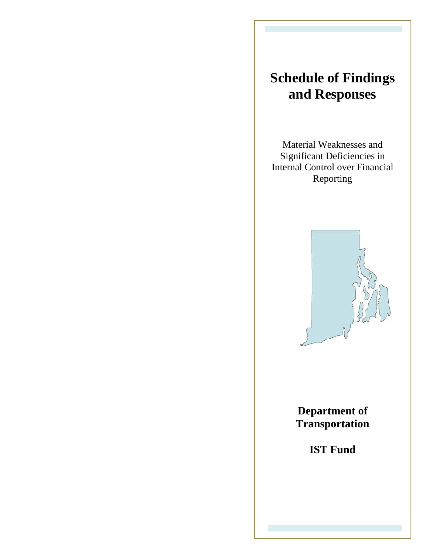# **Schedule of Findings and Responses**

Material Weaknesses and Significant Deficiencies in Internal Control over Financial Reporting



**Department of Transportation**

**IST Fund**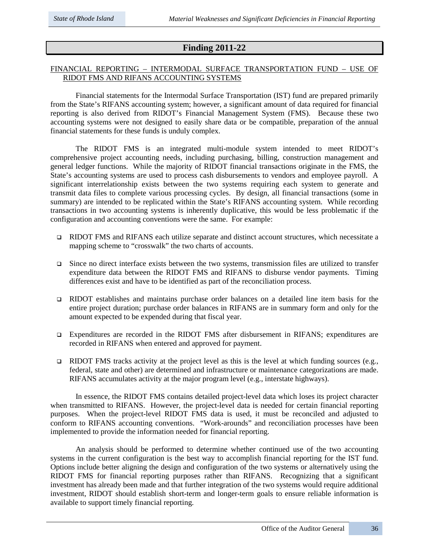# **Finding 2011-22**

## FINANCIAL REPORTING – INTERMODAL SURFACE TRANSPORTATION FUND – USE OF RIDOT FMS AND RIFANS ACCOUNTING SYSTEMS

Financial statements for the Intermodal Surface Transportation (IST) fund are prepared primarily from the State's RIFANS accounting system; however, a significant amount of data required for financial reporting is also derived from RIDOT's Financial Management System (FMS). Because these two accounting systems were not designed to easily share data or be compatible, preparation of the annual financial statements for these funds is unduly complex.

The RIDOT FMS is an integrated multi-module system intended to meet RIDOT's comprehensive project accounting needs, including purchasing, billing, construction management and general ledger functions. While the majority of RIDOT financial transactions originate in the FMS, the State's accounting systems are used to process cash disbursements to vendors and employee payroll. A significant interrelationship exists between the two systems requiring each system to generate and transmit data files to complete various processing cycles. By design, all financial transactions (some in summary) are intended to be replicated within the State's RIFANS accounting system. While recording transactions in two accounting systems is inherently duplicative, this would be less problematic if the configuration and accounting conventions were the same. For example:

- RIDOT FMS and RIFANS each utilize separate and distinct account structures, which necessitate a mapping scheme to "crosswalk" the two charts of accounts.
- $\Box$  Since no direct interface exists between the two systems, transmission files are utilized to transfer expenditure data between the RIDOT FMS and RIFANS to disburse vendor payments. Timing differences exist and have to be identified as part of the reconciliation process.
- RIDOT establishes and maintains purchase order balances on a detailed line item basis for the entire project duration; purchase order balances in RIFANS are in summary form and only for the amount expected to be expended during that fiscal year.
- Expenditures are recorded in the RIDOT FMS after disbursement in RIFANS; expenditures are recorded in RIFANS when entered and approved for payment.
- EIDOT FMS tracks activity at the project level as this is the level at which funding sources (e.g., federal, state and other) are determined and infrastructure or maintenance categorizations are made. RIFANS accumulates activity at the major program level (e.g., interstate highways).

In essence, the RIDOT FMS contains detailed project-level data which loses its project character when transmitted to RIFANS. However, the project-level data is needed for certain financial reporting purposes. When the project-level RIDOT FMS data is used, it must be reconciled and adjusted to conform to RIFANS accounting conventions. "Work-arounds" and reconciliation processes have been implemented to provide the information needed for financial reporting.

An analysis should be performed to determine whether continued use of the two accounting systems in the current configuration is the best way to accomplish financial reporting for the IST fund. Options include better aligning the design and configuration of the two systems or alternatively using the RIDOT FMS for financial reporting purposes rather than RIFANS. Recognizing that a significant investment has already been made and that further integration of the two systems would require additional investment, RIDOT should establish short-term and longer-term goals to ensure reliable information is available to support timely financial reporting.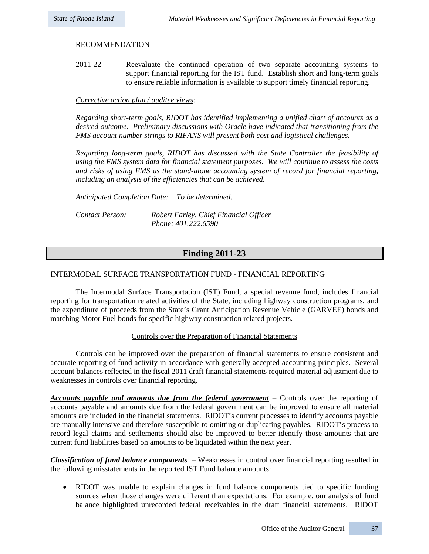## RECOMMENDATION

2011-22 Reevaluate the continued operation of two separate accounting systems to support financial reporting for the IST fund. Establish short and long-term goals to ensure reliable information is available to support timely financial reporting.

## *Corrective action plan / auditee views:*

*Regarding short-term goals, RIDOT has identified implementing a unified chart of accounts as a desired outcome. Preliminary discussions with Oracle have indicated that transitioning from the FMS account number strings to RIFANS will present both cost and logistical challenges.* 

*Regarding long-term goals, RIDOT has discussed with the State Controller the feasibility of using the FMS system data for financial statement purposes. We will continue to assess the costs and risks of using FMS as the stand-alone accounting system of record for financial reporting, including an analysis of the efficiencies that can be achieved.*

*Anticipated Completion Date: To be determined.*

*Contact Person: Robert Farley, Chief Financial Officer Phone: 401.222.6590*

# **Finding 2011-23**

## INTERMODAL SURFACE TRANSPORTATION FUND - FINANCIAL REPORTING

The Intermodal Surface Transportation (IST) Fund, a special revenue fund, includes financial reporting for transportation related activities of the State, including highway construction programs, and the expenditure of proceeds from the State's Grant Anticipation Revenue Vehicle (GARVEE) bonds and matching Motor Fuel bonds for specific highway construction related projects.

## Controls over the Preparation of Financial Statements

Controls can be improved over the preparation of financial statements to ensure consistent and accurate reporting of fund activity in accordance with generally accepted accounting principles. Several account balances reflected in the fiscal 2011 draft financial statements required material adjustment due to weaknesses in controls over financial reporting.

*Accounts payable and amounts due from the federal government* – Controls over the reporting of accounts payable and amounts due from the federal government can be improved to ensure all material amounts are included in the financial statements. RIDOT's current processes to identify accounts payable are manually intensive and therefore susceptible to omitting or duplicating payables. RIDOT's process to record legal claims and settlements should also be improved to better identify those amounts that are current fund liabilities based on amounts to be liquidated within the next year.

*Classification of fund balance components* – Weaknesses in control over financial reporting resulted in the following misstatements in the reported IST Fund balance amounts:

• RIDOT was unable to explain changes in fund balance components tied to specific funding sources when those changes were different than expectations. For example, our analysis of fund balance highlighted unrecorded federal receivables in the draft financial statements. RIDOT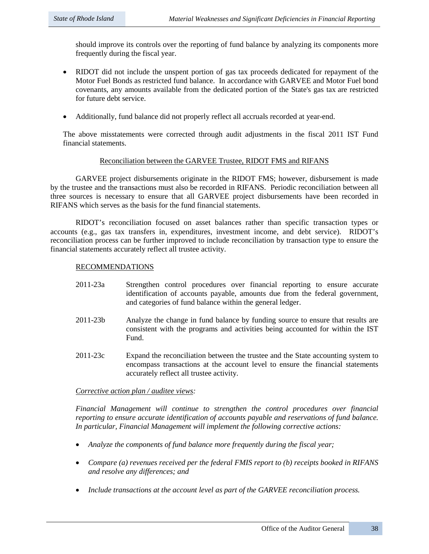should improve its controls over the reporting of fund balance by analyzing its components more frequently during the fiscal year.

- RIDOT did not include the unspent portion of gas tax proceeds dedicated for repayment of the Motor Fuel Bonds as restricted fund balance. In accordance with GARVEE and Motor Fuel bond covenants, any amounts available from the dedicated portion of the State's gas tax are restricted for future debt service.
- Additionally, fund balance did not properly reflect all accruals recorded at year-end.

The above misstatements were corrected through audit adjustments in the fiscal 2011 IST Fund financial statements.

## Reconciliation between the GARVEE Trustee, RIDOT FMS and RIFANS

GARVEE project disbursements originate in the RIDOT FMS; however, disbursement is made by the trustee and the transactions must also be recorded in RIFANS. Periodic reconciliation between all three sources is necessary to ensure that all GARVEE project disbursements have been recorded in RIFANS which serves as the basis for the fund financial statements.

RIDOT's reconciliation focused on asset balances rather than specific transaction types or accounts (e.g., gas tax transfers in, expenditures, investment income, and debt service). RIDOT's reconciliation process can be further improved to include reconciliation by transaction type to ensure the financial statements accurately reflect all trustee activity.

## RECOMMENDATIONS

- 2011-23a Strengthen control procedures over financial reporting to ensure accurate identification of accounts payable, amounts due from the federal government, and categories of fund balance within the general ledger.
- 2011-23b Analyze the change in fund balance by funding source to ensure that results are consistent with the programs and activities being accounted for within the IST Fund.
- 2011-23c Expand the reconciliation between the trustee and the State accounting system to encompass transactions at the account level to ensure the financial statements accurately reflect all trustee activity.

## *Corrective action plan / auditee views:*

*Financial Management will continue to strengthen the control procedures over financial reporting to ensure accurate identification of accounts payable and reservations of fund balance. In particular, Financial Management will implement the following corrective actions:*

- *Analyze the components of fund balance more frequently during the fiscal year;*
- *Compare (a) revenues received per the federal FMIS report to (b) receipts booked in RIFANS and resolve any differences; and*
- *Include transactions at the account level as part of the GARVEE reconciliation process.*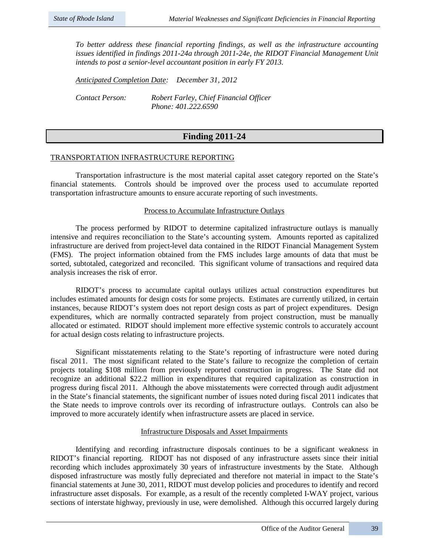*To better address these financial reporting findings, as well as the infrastructure accounting issues identified in findings 2011-24a through 2011-24e, the RIDOT Financial Management Unit intends to post a senior-level accountant position in early FY 2013.*

*Anticipated Completion Date: December 31, 2012 Contact Person: Robert Farley, Chief Financial Officer Phone: 401.222.6590*

# **Finding 2011-24**

## TRANSPORTATION INFRASTRUCTURE REPORTING

Transportation infrastructure is the most material capital asset category reported on the State's financial statements. Controls should be improved over the process used to accumulate reported transportation infrastructure amounts to ensure accurate reporting of such investments.

## Process to Accumulate Infrastructure Outlays

The process performed by RIDOT to determine capitalized infrastructure outlays is manually intensive and requires reconciliation to the State's accounting system. Amounts reported as capitalized infrastructure are derived from project-level data contained in the RIDOT Financial Management System (FMS). The project information obtained from the FMS includes large amounts of data that must be sorted, subtotaled, categorized and reconciled. This significant volume of transactions and required data analysis increases the risk of error.

RIDOT's process to accumulate capital outlays utilizes actual construction expenditures but includes estimated amounts for design costs for some projects. Estimates are currently utilized, in certain instances, because RIDOT's system does not report design costs as part of project expenditures. Design expenditures, which are normally contracted separately from project construction, must be manually allocated or estimated. RIDOT should implement more effective systemic controls to accurately account for actual design costs relating to infrastructure projects.

Significant misstatements relating to the State's reporting of infrastructure were noted during fiscal 2011. The most significant related to the State's failure to recognize the completion of certain projects totaling \$108 million from previously reported construction in progress. The State did not recognize an additional \$22.2 million in expenditures that required capitalization as construction in progress during fiscal 2011. Although the above misstatements were corrected through audit adjustment in the State's financial statements, the significant number of issues noted during fiscal 2011 indicates that the State needs to improve controls over its recording of infrastructure outlays. Controls can also be improved to more accurately identify when infrastructure assets are placed in service.

## Infrastructure Disposals and Asset Impairments

Identifying and recording infrastructure disposals continues to be a significant weakness in RIDOT's financial reporting. RIDOT has not disposed of any infrastructure assets since their initial recording which includes approximately 30 years of infrastructure investments by the State. Although disposed infrastructure was mostly fully depreciated and therefore not material in impact to the State's financial statements at June 30, 2011, RIDOT must develop policies and procedures to identify and record infrastructure asset disposals. For example, as a result of the recently completed I-WAY project, various sections of interstate highway, previously in use, were demolished. Although this occurred largely during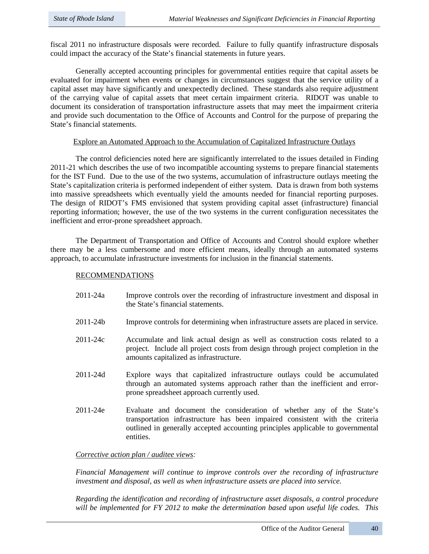fiscal 2011 no infrastructure disposals were recorded. Failure to fully quantify infrastructure disposals could impact the accuracy of the State's financial statements in future years.

Generally accepted accounting principles for governmental entities require that capital assets be evaluated for impairment when events or changes in circumstances suggest that the service utility of a capital asset may have significantly and unexpectedly declined. These standards also require adjustment of the carrying value of capital assets that meet certain impairment criteria. RIDOT was unable to document its consideration of transportation infrastructure assets that may meet the impairment criteria and provide such documentation to the Office of Accounts and Control for the purpose of preparing the State's financial statements.

## Explore an Automated Approach to the Accumulation of Capitalized Infrastructure Outlays

The control deficiencies noted here are significantly interrelated to the issues detailed in Finding 2011-21 which describes the use of two incompatible accounting systems to prepare financial statements for the IST Fund. Due to the use of the two systems, accumulation of infrastructure outlays meeting the State's capitalization criteria is performed independent of either system. Data is drawn from both systems into massive spreadsheets which eventually yield the amounts needed for financial reporting purposes. The design of RIDOT's FMS envisioned that system providing capital asset (infrastructure) financial reporting information; however, the use of the two systems in the current configuration necessitates the inefficient and error-prone spreadsheet approach.

The Department of Transportation and Office of Accounts and Control should explore whether there may be a less cumbersome and more efficient means, ideally through an automated systems approach, to accumulate infrastructure investments for inclusion in the financial statements.

## RECOMMENDATIONS

- 2011-24a Improve controls over the recording of infrastructure investment and disposal in the State's financial statements.
- 2011-24b Improve controls for determining when infrastructure assets are placed in service.
- 2011-24c Accumulate and link actual design as well as construction costs related to a project. Include all project costs from design through project completion in the amounts capitalized as infrastructure.
- 2011-24d Explore ways that capitalized infrastructure outlays could be accumulated through an automated systems approach rather than the inefficient and errorprone spreadsheet approach currently used.
- 2011-24e Evaluate and document the consideration of whether any of the State's transportation infrastructure has been impaired consistent with the criteria outlined in generally accepted accounting principles applicable to governmental entities.

## *Corrective action plan / auditee views:*

*Financial Management will continue to improve controls over the recording of infrastructure investment and disposal, as well as when infrastructure assets are placed into service.* 

*Regarding the identification and recording of infrastructure asset disposals, a control procedure will be implemented for FY 2012 to make the determination based upon useful life codes. This*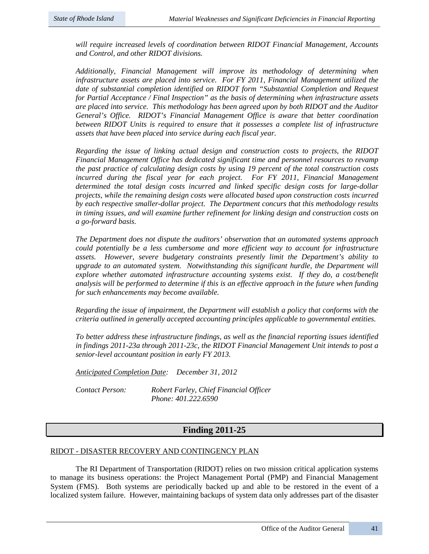*will require increased levels of coordination between RIDOT Financial Management, Accounts and Control, and other RIDOT divisions.*

*Additionally, Financial Management will improve its methodology of determining when infrastructure assets are placed into service. For FY 2011, Financial Management utilized the date of substantial completion identified on RIDOT form "Substantial Completion and Request for Partial Acceptance / Final Inspection" as the basis of determining when infrastructure assets are placed into service. This methodology has been agreed upon by both RIDOT and the Auditor General's Office. RIDOT's Financial Management Office is aware that better coordination between RIDOT Units is required to ensure that it possesses a complete list of infrastructure assets that have been placed into service during each fiscal year.*

*Regarding the issue of linking actual design and construction costs to projects, the RIDOT Financial Management Office has dedicated significant time and personnel resources to revamp the past practice of calculating design costs by using 19 percent of the total construction costs*  incurred during the fiscal year for each project. For FY 2011, Financial Management *determined the total design costs incurred and linked specific design costs for large-dollar projects, while the remaining design costs were allocated based upon construction costs incurred by each respective smaller-dollar project. The Department concurs that this methodology results in timing issues, and will examine further refinement for linking design and construction costs on a go-forward basis.*

*The Department does not dispute the auditors' observation that an automated systems approach could potentially be a less cumbersome and more efficient way to account for infrastructure assets. However, severe budgetary constraints presently limit the Department's ability to upgrade to an automated system. Notwithstanding this significant hurdle, the Department will explore whether automated infrastructure accounting systems exist. If they do, a cost/benefit analysis will be performed to determine if this is an effective approach in the future when funding for such enhancements may become available.*

*Regarding the issue of impairment, the Department will establish a policy that conforms with the criteria outlined in generally accepted accounting principles applicable to governmental entities.*

*To better address these infrastructure findings, as well as the financial reporting issues identified in findings 2011-23a through 2011-23c, the RIDOT Financial Management Unit intends to post a senior-level accountant position in early FY 2013.*

*Anticipated Completion Date: December 31, 2012*

*Contact Person: Robert Farley, Chief Financial Officer Phone: 401.222.6590*

# **Finding 2011-25**

## RIDOT - DISASTER RECOVERY AND CONTINGENCY PLAN

The RI Department of Transportation (RIDOT) relies on two mission critical application systems to manage its business operations: the Project Management Portal (PMP) and Financial Management System (FMS). Both systems are periodically backed up and able to be restored in the event of a localized system failure. However, maintaining backups of system data only addresses part of the disaster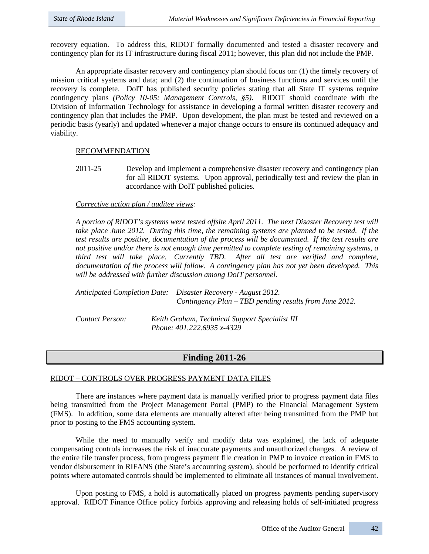recovery equation. To address this, RIDOT formally documented and tested a disaster recovery and contingency plan for its IT infrastructure during fiscal 2011; however, this plan did not include the PMP.

An appropriate disaster recovery and contingency plan should focus on: (1) the timely recovery of mission critical systems and data; and (2) the continuation of business functions and services until the recovery is complete. DoIT has published security policies stating that all State IT systems require contingency plans *(Policy 10-05: Management Controls, §5)*. RIDOT should coordinate with the Division of Information Technology for assistance in developing a formal written disaster recovery and contingency plan that includes the PMP. Upon development, the plan must be tested and reviewed on a periodic basis (yearly) and updated whenever a major change occurs to ensure its continued adequacy and viability.

## RECOMMENDATION

2011-25 Develop and implement a comprehensive disaster recovery and contingency plan for all RIDOT systems. Upon approval, periodically test and review the plan in accordance with DoIT published policies.

## *Corrective action plan / auditee views:*

*A portion of RIDOT's systems were tested offsite April 2011. The next Disaster Recovery test will take place June 2012. During this time, the remaining systems are planned to be tested. If the test results are positive, documentation of the process will be documented. If the test results are not positive and/or there is not enough time permitted to complete testing of remaining systems, a third test will take place. Currently TBD. After all test are verified and complete, documentation of the process will follow. A contingency plan has not yet been developed. This will be addressed with further discussion among DoIT personnel.* 

| Anticipated Completion Date: Disaster Recovery - August 2012.<br>Contingency Plan – TBD pending results from June 2012. |
|-------------------------------------------------------------------------------------------------------------------------|
|                                                                                                                         |

*Contact Person: Keith Graham, Technical Support Specialist III Phone: 401.222.6935 x-4329*

# **Finding 2011-26**

## RIDOT – CONTROLS OVER PROGRESS PAYMENT DATA FILES

There are instances where payment data is manually verified prior to progress payment data files being transmitted from the Project Management Portal (PMP) to the Financial Management System (FMS). In addition, some data elements are manually altered after being transmitted from the PMP but prior to posting to the FMS accounting system.

While the need to manually verify and modify data was explained, the lack of adequate compensating controls increases the risk of inaccurate payments and unauthorized changes. A review of the entire file transfer process, from progress payment file creation in PMP to invoice creation in FMS to vendor disbursement in RIFANS (the State's accounting system), should be performed to identify critical points where automated controls should be implemented to eliminate all instances of manual involvement.

Upon posting to FMS, a hold is automatically placed on progress payments pending supervisory approval. RIDOT Finance Office policy forbids approving and releasing holds of self-initiated progress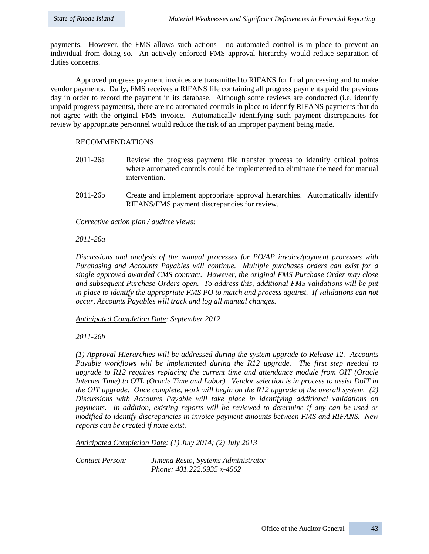payments. However, the FMS allows such actions - no automated control is in place to prevent an individual from doing so. An actively enforced FMS approval hierarchy would reduce separation of duties concerns.

Approved progress payment invoices are transmitted to RIFANS for final processing and to make vendor payments. Daily, FMS receives a RIFANS file containing all progress payments paid the previous day in order to record the payment in its database. Although some reviews are conducted (i.e. identify unpaid progress payments), there are no automated controls in place to identify RIFANS payments that do not agree with the original FMS invoice. Automatically identifying such payment discrepancies for review by appropriate personnel would reduce the risk of an improper payment being made.

## RECOMMENDATIONS

- 2011-26a Review the progress payment file transfer process to identify critical points where automated controls could be implemented to eliminate the need for manual intervention.
- 2011-26b Create and implement appropriate approval hierarchies. Automatically identify RIFANS/FMS payment discrepancies for review.

*Corrective action plan / auditee views:* 

*2011-26a*

*Discussions and analysis of the manual processes for PO/AP invoice/payment processes with Purchasing and Accounts Payables will continue. Multiple purchases orders can exist for a single approved awarded CMS contract. However, the original FMS Purchase Order may close and subsequent Purchase Orders open. To address this, additional FMS validations will be put in place to identify the appropriate FMS PO to match and process against. If validations can not occur, Accounts Payables will track and log all manual changes.*

*Anticipated Completion Date: September 2012*

*2011-26b*

*(1) Approval Hierarchies will be addressed during the system upgrade to Release 12. Accounts Payable workflows will be implemented during the R12 upgrade. The first step needed to upgrade to R12 requires replacing the current time and attendance module from OIT (Oracle Internet Time) to OTL (Oracle Time and Labor). Vendor selection is in process to assist DoIT in the OIT upgrade. Once complete, work will begin on the R12 upgrade of the overall system. (2) Discussions with Accounts Payable will take place in identifying additional validations on payments. In addition, existing reports will be reviewed to determine if any can be used or modified to identify discrepancies in invoice payment amounts between FMS and RIFANS. New reports can be created if none exist.* 

*Anticipated Completion Date: (1) July 2014; (2) July 2013*

*Contact Person: Jimena Resto, Systems Administrator Phone: 401.222.6935 x-4562*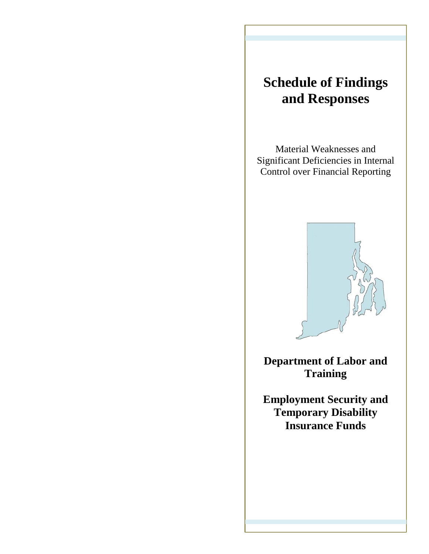# **Schedule of Findings and Responses**

Material Weaknesses and Significant Deficiencies in Internal Control over Financial Reporting



**Department of Labor and Training** 

**Employment Security and Temporary Disability Insurance Funds**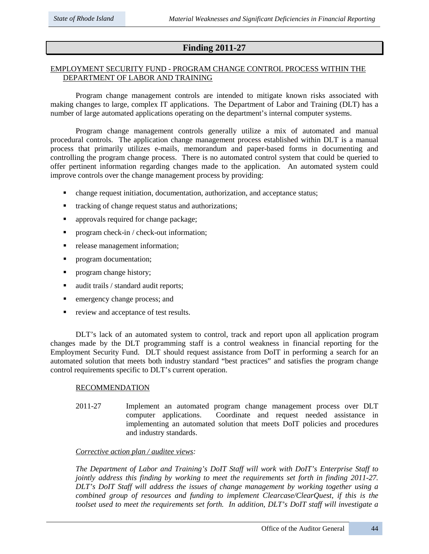# **Finding 2011-27**

## EMPLOYMENT SECURITY FUND - PROGRAM CHANGE CONTROL PROCESS WITHIN THE DEPARTMENT OF LABOR AND TRAINING

Program change management controls are intended to mitigate known risks associated with making changes to large, complex IT applications. The Department of Labor and Training (DLT) has a number of large automated applications operating on the department's internal computer systems.

Program change management controls generally utilize a mix of automated and manual procedural controls. The application change management process established within DLT is a manual process that primarily utilizes e-mails, memorandum and paper-based forms in documenting and controlling the program change process. There is no automated control system that could be queried to offer pertinent information regarding changes made to the application. An automated system could improve controls over the change management process by providing:

- change request initiation, documentation, authorization, and acceptance status;
- tracking of change request status and authorizations;

- approvals required for change package;
- **Perogram check-in / check-out information;**
- release management information;
- **•** program documentation;
- **•** program change history;
- audit trails / standard audit reports;
- **EXECUTE:** emergency change process; and
- review and acceptance of test results.

DLT's lack of an automated system to control, track and report upon all application program changes made by the DLT programming staff is a control weakness in financial reporting for the Employment Security Fund. DLT should request assistance from DoIT in performing a search for an automated solution that meets both industry standard "best practices" and satisfies the program change control requirements specific to DLT's current operation.

## RECOMMENDATION

2011-27 Implement an automated program change management process over DLT computer applications. Coordinate and request needed assistance in implementing an automated solution that meets DoIT policies and procedures and industry standards.

## *Corrective action plan / auditee views:*

*The Department of Labor and Training's DoIT Staff will work with DoIT's Enterprise Staff to jointly address this finding by working to meet the requirements set forth in finding 2011-27. DLT's DoIT Staff will address the issues of change management by working together using a combined group of resources and funding to implement Clearcase/ClearQuest, if this is the toolset used to meet the requirements set forth. In addition, DLT's DoIT staff will investigate a*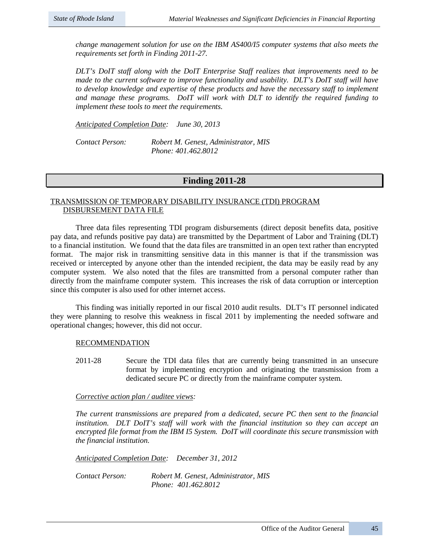*change management solution for use on the IBM AS400/I5 computer systems that also meets the requirements set forth in Finding 2011-27.*

*DLT's DoIT staff along with the DoIT Enterprise Staff realizes that improvements need to be made to the current software to improve functionality and usability. DLT's DoIT staff will have to develop knowledge and expertise of these products and have the necessary staff to implement and manage these programs. DoIT will work with DLT to identify the required funding to implement these tools to meet the requirements.* 

*Anticipated Completion Date: June 30, 2013*

*Contact Person: Robert M. Genest, Administrator, MIS Phone: 401.462.8012*

## **Finding 2011-28**

## TRANSMISSION OF TEMPORARY DISABILITY INSURANCE (TDI) PROGRAM DISBURSEMENT DATA FILE

Three data files representing TDI program disbursements (direct deposit benefits data, positive pay data, and refunds positive pay data) are transmitted by the Department of Labor and Training (DLT) to a financial institution. We found that the data files are transmitted in an open text rather than encrypted format. The major risk in transmitting sensitive data in this manner is that if the transmission was received or intercepted by anyone other than the intended recipient, the data may be easily read by any computer system. We also noted that the files are transmitted from a personal computer rather than directly from the mainframe computer system. This increases the risk of data corruption or interception since this computer is also used for other internet access.

This finding was initially reported in our fiscal 2010 audit results. DLT's IT personnel indicated they were planning to resolve this weakness in fiscal 2011 by implementing the needed software and operational changes; however, this did not occur.

## RECOMMENDATION

2011-28 Secure the TDI data files that are currently being transmitted in an unsecure format by implementing encryption and originating the transmission from a dedicated secure PC or directly from the mainframe computer system.

## *Corrective action plan / auditee views:*

*The current transmissions are prepared from a dedicated, secure PC then sent to the financial institution. DLT DoIT's staff will work with the financial institution so they can accept an encrypted file format from the IBM I5 System. DoIT will coordinate this secure transmission with the financial institution.*

*Anticipated Completion Date: December 31, 2012*

*Contact Person: Robert M. Genest, Administrator, MIS Phone: 401.462.8012*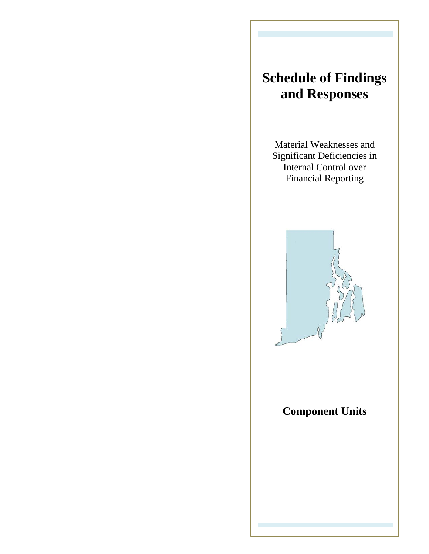# **Schedule of Findings and Responses**

Material Weaknesses and Significant Deficiencies in Internal Control over Financial Reporting



**Component Units**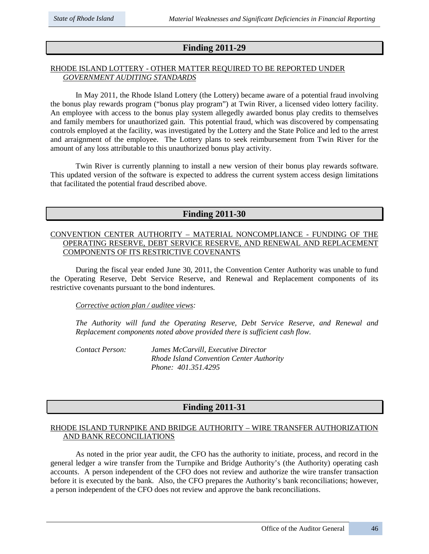# **Finding 2011-29**

## RHODE ISLAND LOTTERY - OTHER MATTER REQUIRED TO BE REPORTED UNDER *GOVERNMENT AUDITING STANDARDS*

In May 2011, the Rhode Island Lottery (the Lottery) became aware of a potential fraud involving the bonus play rewards program ("bonus play program") at Twin River, a licensed video lottery facility. An employee with access to the bonus play system allegedly awarded bonus play credits to themselves and family members for unauthorized gain. This potential fraud, which was discovered by compensating controls employed at the facility, was investigated by the Lottery and the State Police and led to the arrest and arraignment of the employee. The Lottery plans to seek reimbursement from Twin River for the amount of any loss attributable to this unauthorized bonus play activity.

Twin River is currently planning to install a new version of their bonus play rewards software. This updated version of the software is expected to address the current system access design limitations that facilitated the potential fraud described above.

## **Finding 2011-30**

## CONVENTION CENTER AUTHORITY – MATERIAL NONCOMPLIANCE - FUNDING OF THE OPERATING RESERVE, DEBT SERVICE RESERVE, AND RENEWAL AND REPLACEMENT COMPONENTS OF ITS RESTRICTIVE COVENANTS

During the fiscal year ended June 30, 2011, the Convention Center Authority was unable to fund the Operating Reserve, Debt Service Reserve, and Renewal and Replacement components of its restrictive covenants pursuant to the bond indentures.

## *Corrective action plan / auditee views:*

*The Authority will fund the Operating Reserve, Debt Service Reserve, and Renewal and Replacement components noted above provided there is sufficient cash flow.* 

*Contact Person: James McCarvill, Executive Director Rhode Island Convention Center Authority Phone: 401.351.4295*

# **Finding 2011-31**

## RHODE ISLAND TURNPIKE AND BRIDGE AUTHORITY – WIRE TRANSFER AUTHORIZATION AND BANK RECONCILIATIONS

As noted in the prior year audit, the CFO has the authority to initiate, process, and record in the general ledger a wire transfer from the Turnpike and Bridge Authority's (the Authority) operating cash accounts. A person independent of the CFO does not review and authorize the wire transfer transaction before it is executed by the bank. Also, the CFO prepares the Authority's bank reconciliations; however, a person independent of the CFO does not review and approve the bank reconciliations.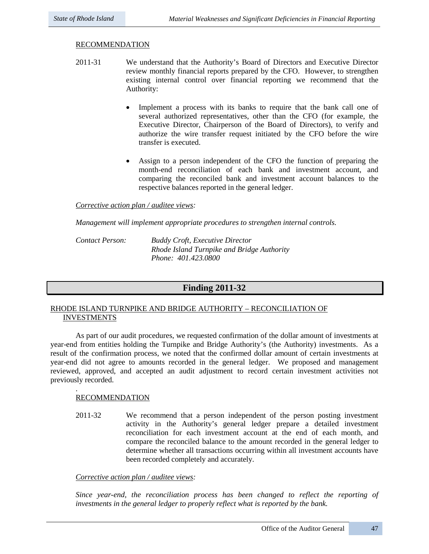## RECOMMENDATION

- 2011-31 We understand that the Authority's Board of Directors and Executive Director review monthly financial reports prepared by the CFO. However, to strengthen existing internal control over financial reporting we recommend that the Authority:
	- Implement a process with its banks to require that the bank call one of several authorized representatives, other than the CFO (for example, the Executive Director, Chairperson of the Board of Directors), to verify and authorize the wire transfer request initiated by the CFO before the wire transfer is executed.
	- Assign to a person independent of the CFO the function of preparing the month-end reconciliation of each bank and investment account, and comparing the reconciled bank and investment account balances to the respective balances reported in the general ledger.

## *Corrective action plan / auditee views:*

*Management will implement appropriate procedures to strengthen internal controls.*

*Contact Person: Buddy Croft, Executive Director Rhode Island Turnpike and Bridge Authority Phone: 401.423.0800*

# **Finding 2011-32**

## RHODE ISLAND TURNPIKE AND BRIDGE AUTHORITY – RECONCILIATION OF INVESTMENTS

As part of our audit procedures, we requested confirmation of the dollar amount of investments at year-end from entities holding the Turnpike and Bridge Authority's (the Authority) investments. As a result of the confirmation process, we noted that the confirmed dollar amount of certain investments at year-end did not agree to amounts recorded in the general ledger. We proposed and management reviewed, approved, and accepted an audit adjustment to record certain investment activities not previously recorded.

## RECOMMENDATION

.

2011-32 We recommend that a person independent of the person posting investment activity in the Authority's general ledger prepare a detailed investment reconciliation for each investment account at the end of each month, and compare the reconciled balance to the amount recorded in the general ledger to determine whether all transactions occurring within all investment accounts have been recorded completely and accurately.

## *Corrective action plan / auditee views:*

*Since year-end, the reconciliation process has been changed to reflect the reporting of investments in the general ledger to properly reflect what is reported by the bank.*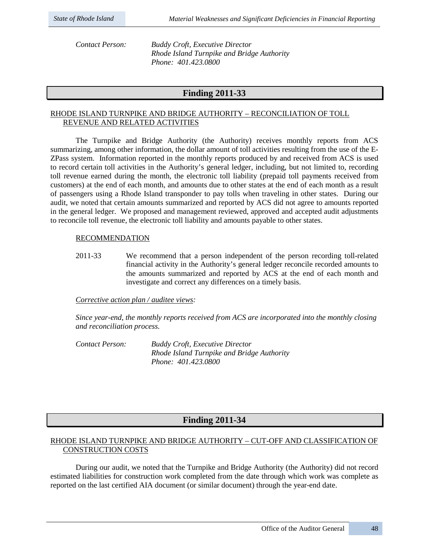*Contact Person: Buddy Croft, Executive Director Rhode Island Turnpike and Bridge Authority Phone: 401.423.0800*

# **Finding 2011-33**

## RHODE ISLAND TURNPIKE AND BRIDGE AUTHORITY – RECONCILIATION OF TOLL REVENUE AND RELATED ACTIVITIES

The Turnpike and Bridge Authority (the Authority) receives monthly reports from ACS summarizing, among other information, the dollar amount of toll activities resulting from the use of the E-ZPass system. Information reported in the monthly reports produced by and received from ACS is used to record certain toll activities in the Authority's general ledger, including, but not limited to, recording toll revenue earned during the month, the electronic toll liability (prepaid toll payments received from customers) at the end of each month, and amounts due to other states at the end of each month as a result of passengers using a Rhode Island transponder to pay tolls when traveling in other states. During our audit, we noted that certain amounts summarized and reported by ACS did not agree to amounts reported in the general ledger. We proposed and management reviewed, approved and accepted audit adjustments to reconcile toll revenue, the electronic toll liability and amounts payable to other states.

## RECOMMENDATION

2011-33 We recommend that a person independent of the person recording toll-related financial activity in the Authority's general ledger reconcile recorded amounts to the amounts summarized and reported by ACS at the end of each month and investigate and correct any differences on a timely basis.

## *Corrective action plan / auditee views:*

*Since year-end, the monthly reports received from ACS are incorporated into the monthly closing and reconciliation process.*

*Contact Person: Buddy Croft, Executive Director Rhode Island Turnpike and Bridge Authority Phone: 401.423.0800*

# **Finding 2011-34**

## RHODE ISLAND TURNPIKE AND BRIDGE AUTHORITY – CUT-OFF AND CLASSIFICATION OF CONSTRUCTION COSTS

During our audit, we noted that the Turnpike and Bridge Authority (the Authority) did not record estimated liabilities for construction work completed from the date through which work was complete as reported on the last certified AIA document (or similar document) through the year-end date.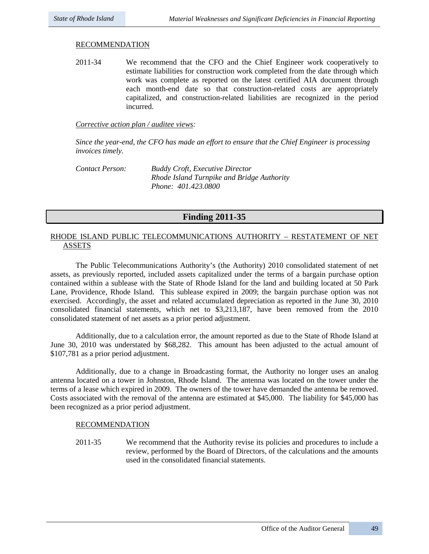## RECOMMENDATION

2011-34 We recommend that the CFO and the Chief Engineer work cooperatively to estimate liabilities for construction work completed from the date through which work was complete as reported on the latest certified AIA document through each month-end date so that construction-related costs are appropriately capitalized, and construction-related liabilities are recognized in the period incurred.

#### *Corrective action plan / auditee views:*

*Since the year-end, the CFO has made an effort to ensure that the Chief Engineer is processing invoices timely.*

*Contact Person: Buddy Croft, Executive Director Rhode Island Turnpike and Bridge Authority Phone: 401.423.0800*

## **Finding 2011-35**

## RHODE ISLAND PUBLIC TELECOMMUNICATIONS AUTHORITY – RESTATEMENT OF NET ASSETS

The Public Telecommunications Authority's (the Authority) 2010 consolidated statement of net assets, as previously reported, included assets capitalized under the terms of a bargain purchase option contained within a sublease with the State of Rhode Island for the land and building located at 50 Park Lane, Providence, Rhode Island. This sublease expired in 2009; the bargain purchase option was not exercised. Accordingly, the asset and related accumulated depreciation as reported in the June 30, 2010 consolidated financial statements, which net to \$3,213,187, have been removed from the 2010 consolidated statement of net assets as a prior period adjustment.

Additionally, due to a calculation error, the amount reported as due to the State of Rhode Island at June 30, 2010 was understated by \$68,282. This amount has been adjusted to the actual amount of \$107,781 as a prior period adjustment.

Additionally, due to a change in Broadcasting format, the Authority no longer uses an analog antenna located on a tower in Johnston, Rhode Island. The antenna was located on the tower under the terms of a lease which expired in 2009. The owners of the tower have demanded the antenna be removed. Costs associated with the removal of the antenna are estimated at \$45,000. The liability for \$45,000 has been recognized as a prior period adjustment.

## RECOMMENDATION

2011-35 We recommend that the Authority revise its policies and procedures to include a review, performed by the Board of Directors, of the calculations and the amounts used in the consolidated financial statements.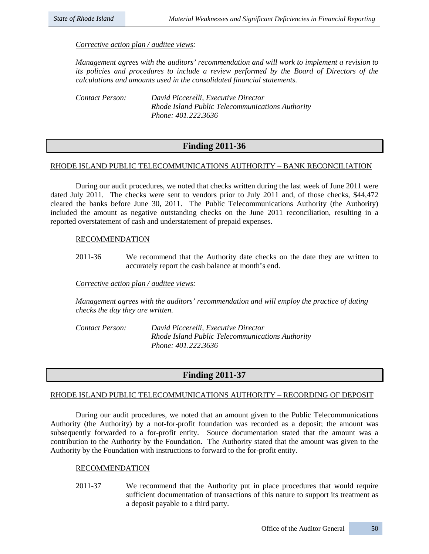## *Corrective action plan / auditee views:*

*Management agrees with the auditors' recommendation and will work to implement a revision to its policies and procedures to include a review performed by the Board of Directors of the calculations and amounts used in the consolidated financial statements.*

*Contact Person: David Piccerelli, Executive Director Rhode Island Public Telecommunications Authority Phone: 401.222.3636*

# **Finding 2011-36**

## RHODE ISLAND PUBLIC TELECOMMUNICATIONS AUTHORITY – BANK RECONCILIATION

During our audit procedures, we noted that checks written during the last week of June 2011 were dated July 2011. The checks were sent to vendors prior to July 2011 and, of those checks, \$44,472 cleared the banks before June 30, 2011. The Public Telecommunications Authority (the Authority) included the amount as negative outstanding checks on the June 2011 reconciliation, resulting in a reported overstatement of cash and understatement of prepaid expenses.

## RECOMMENDATION

2011-36 We recommend that the Authority date checks on the date they are written to accurately report the cash balance at month's end.

*Corrective action plan / auditee views:* 

*Management agrees with the auditors' recommendation and will employ the practice of dating checks the day they are written.*

*Contact Person: David Piccerelli, Executive Director Rhode Island Public Telecommunications Authority Phone: 401.222.3636*

## **Finding 2011-37**

## RHODE ISLAND PUBLIC TELECOMMUNICATIONS AUTHORITY – RECORDING OF DEPOSIT

During our audit procedures, we noted that an amount given to the Public Telecommunications Authority (the Authority) by a not-for-profit foundation was recorded as a deposit; the amount was subsequently forwarded to a for-profit entity. Source documentation stated that the amount was a contribution to the Authority by the Foundation. The Authority stated that the amount was given to the Authority by the Foundation with instructions to forward to the for-profit entity.

## RECOMMENDATION

2011-37 We recommend that the Authority put in place procedures that would require sufficient documentation of transactions of this nature to support its treatment as a deposit payable to a third party.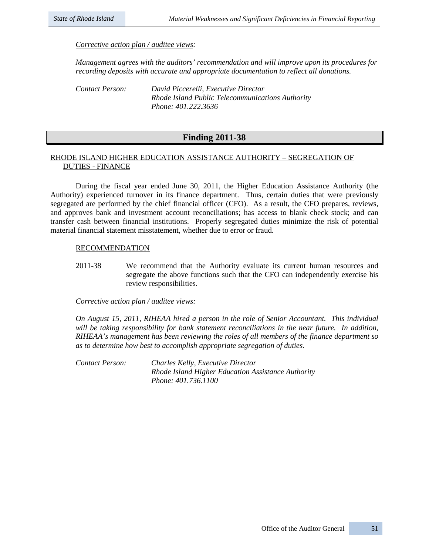*Corrective action plan / auditee views:* 

*Management agrees with the auditors' recommendation and will improve upon its procedures for recording deposits with accurate and appropriate documentation to reflect all donations.*

| Contact Person: | David Piccerelli, Executive Director             |
|-----------------|--------------------------------------------------|
|                 | Rhode Island Public Telecommunications Authority |
|                 | Phone: 401.222.3636                              |

## **Finding 2011-38**

## RHODE ISLAND HIGHER EDUCATION ASSISTANCE AUTHORITY – SEGREGATION OF DUTIES - FINANCE

During the fiscal year ended June 30, 2011, the Higher Education Assistance Authority (the Authority) experienced turnover in its finance department. Thus, certain duties that were previously segregated are performed by the chief financial officer (CFO). As a result, the CFO prepares, reviews, and approves bank and investment account reconciliations; has access to blank check stock; and can transfer cash between financial institutions. Properly segregated duties minimize the risk of potential material financial statement misstatement, whether due to error or fraud.

## **RECOMMENDATION**

2011-38 We recommend that the Authority evaluate its current human resources and segregate the above functions such that the CFO can independently exercise his review responsibilities.

## *Corrective action plan / auditee views:*

*On August 15, 2011, RIHEAA hired a person in the role of Senior Accountant. This individual will be taking responsibility for bank statement reconciliations in the near future. In addition, RIHEAA's management has been reviewing the roles of all members of the finance department so as to determine how best to accomplish appropriate segregation of duties.*

*Contact Person: Charles Kelly, Executive Director Rhode Island Higher Education Assistance Authority Phone: 401.736.1100*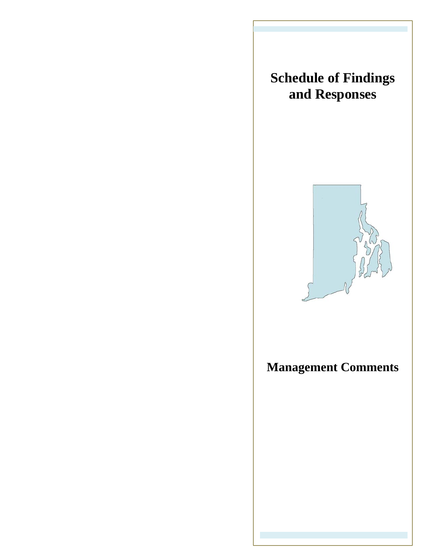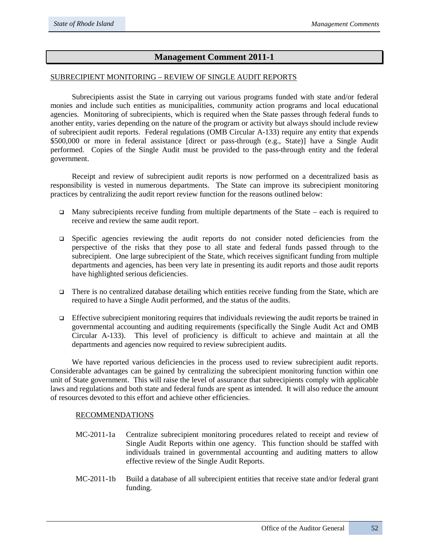# **Management Comment 2011-1**

## SUBRECIPIENT MONITORING – REVIEW OF SINGLE AUDIT REPORTS

Subrecipients assist the State in carrying out various programs funded with state and/or federal monies and include such entities as municipalities, community action programs and local educational agencies. Monitoring of subrecipients, which is required when the State passes through federal funds to another entity, varies depending on the nature of the program or activity but always should include review of subrecipient audit reports. Federal regulations (OMB Circular A-133) require any entity that expends \$500,000 or more in federal assistance [direct or pass-through (e.g., State)] have a Single Audit performed. Copies of the Single Audit must be provided to the pass-through entity and the federal government.

Receipt and review of subrecipient audit reports is now performed on a decentralized basis as responsibility is vested in numerous departments. The State can improve its subrecipient monitoring practices by centralizing the audit report review function for the reasons outlined below:

- Many subrecipients receive funding from multiple departments of the State each is required to receive and review the same audit report.
- Specific agencies reviewing the audit reports do not consider noted deficiencies from the perspective of the risks that they pose to all state and federal funds passed through to the subrecipient. One large subrecipient of the State, which receives significant funding from multiple departments and agencies, has been very late in presenting its audit reports and those audit reports have highlighted serious deficiencies.
- There is no centralized database detailing which entities receive funding from the State, which are required to have a Single Audit performed, and the status of the audits.
- Effective subrecipient monitoring requires that individuals reviewing the audit reports be trained in governmental accounting and auditing requirements (specifically the Single Audit Act and OMB Circular A-133). This level of proficiency is difficult to achieve and maintain at all the departments and agencies now required to review subrecipient audits.

We have reported various deficiencies in the process used to review subrecipient audit reports. Considerable advantages can be gained by centralizing the subrecipient monitoring function within one unit of State government. This will raise the level of assurance that subrecipients comply with applicable laws and regulations and both state and federal funds are spent as intended. It will also reduce the amount of resources devoted to this effort and achieve other efficiencies.

## RECOMMENDATIONS

- MC-2011-1a Centralize subrecipient monitoring procedures related to receipt and review of Single Audit Reports within one agency. This function should be staffed with individuals trained in governmental accounting and auditing matters to allow effective review of the Single Audit Reports.
- MC-2011-1b Build a database of all subrecipient entities that receive state and/or federal grant funding.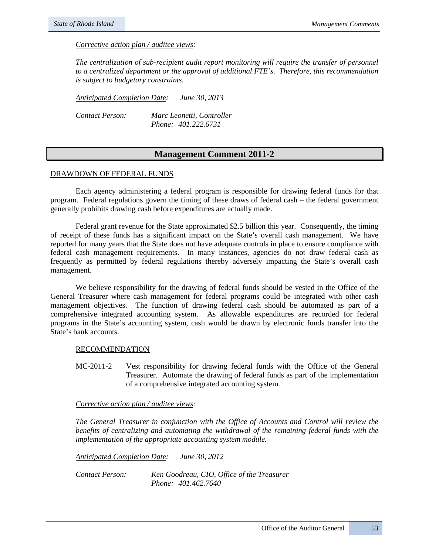*Corrective action plan / auditee views:* 

*The centralization of sub-recipient audit report monitoring will require the transfer of personnel to a centralized department or the approval of additional FTE's. Therefore, this recommendation is subject to budgetary constraints.* 

*Anticipated Completion Date: June 30, 2013*

*Contact Person: Marc Leonetti, Controller Phone: 401.222.6731*

## **Management Comment 2011-2**

#### DRAWDOWN OF FEDERAL FUNDS

Each agency administering a federal program is responsible for drawing federal funds for that program. Federal regulations govern the timing of these draws of federal cash – the federal government generally prohibits drawing cash before expenditures are actually made.

Federal grant revenue for the State approximated \$2.5 billion this year. Consequently, the timing of receipt of these funds has a significant impact on the State's overall cash management. We have reported for many years that the State does not have adequate controls in place to ensure compliance with federal cash management requirements. In many instances, agencies do not draw federal cash as frequently as permitted by federal regulations thereby adversely impacting the State's overall cash management.

We believe responsibility for the drawing of federal funds should be vested in the Office of the General Treasurer where cash management for federal programs could be integrated with other cash management objectives. The function of drawing federal cash should be automated as part of a comprehensive integrated accounting system. As allowable expenditures are recorded for federal programs in the State's accounting system, cash would be drawn by electronic funds transfer into the State's bank accounts.

#### RECOMMENDATION

MC-2011-2 Vest responsibility for drawing federal funds with the Office of the General Treasurer. Automate the drawing of federal funds as part of the implementation of a comprehensive integrated accounting system.

## *Corrective action plan / auditee views:*

*The General Treasurer in conjunction with the Office of Accounts and Control will review the benefits of centralizing and automating the withdrawal of the remaining federal funds with the implementation of the appropriate accounting system module.*

*Anticipated Completion Date: June 30, 2012*

*Contact Person: Ken Goodreau, CIO, Office of the Treasurer Phone: 401.462.7640*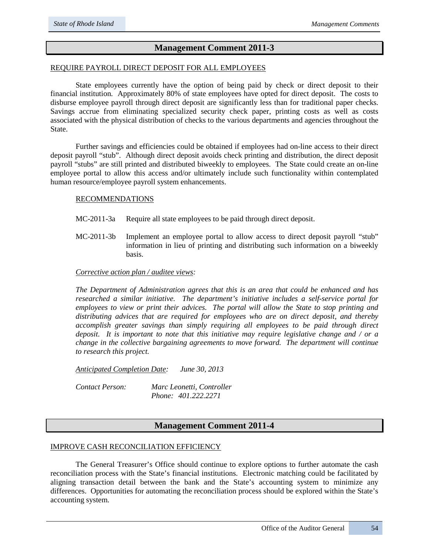# **Management Comment 2011-3**

## REQUIRE PAYROLL DIRECT DEPOSIT FOR ALL EMPLOYEES

State employees currently have the option of being paid by check or direct deposit to their financial institution. Approximately 80% of state employees have opted for direct deposit. The costs to disburse employee payroll through direct deposit are significantly less than for traditional paper checks. Savings accrue from eliminating specialized security check paper, printing costs as well as costs associated with the physical distribution of checks to the various departments and agencies throughout the State.

Further savings and efficiencies could be obtained if employees had on-line access to their direct deposit payroll "stub". Although direct deposit avoids check printing and distribution, the direct deposit payroll "stubs" are still printed and distributed biweekly to employees. The State could create an on-line employee portal to allow this access and/or ultimately include such functionality within contemplated human resource/employee payroll system enhancements.

#### RECOMMENDATIONS

- MC-2011-3a Require all state employees to be paid through direct deposit.
- MC-2011-3b Implement an employee portal to allow access to direct deposit payroll "stub" information in lieu of printing and distributing such information on a biweekly basis.

## *Corrective action plan / auditee views:*

*The Department of Administration agrees that this is an area that could be enhanced and has researched a similar initiative. The department's initiative includes a self-service portal for employees to view or print their advices. The portal will allow the State to stop printing and distributing advices that are required for employees who are on direct deposit, and thereby accomplish greater savings than simply requiring all employees to be paid through direct deposit. It is important to note that this initiative may require legislative change and / or a change in the collective bargaining agreements to move forward. The department will continue to research this project.* 

*Anticipated Completion Date: June 30, 2013*

*Contact Person: Marc Leonetti, Controller Phone: 401.222.2271*

## **Management Comment 2011-4**

## IMPROVE CASH RECONCILIATION EFFICIENCY

The General Treasurer's Office should continue to explore options to further automate the cash reconciliation process with the State's financial institutions. Electronic matching could be facilitated by aligning transaction detail between the bank and the State's accounting system to minimize any differences. Opportunities for automating the reconciliation process should be explored within the State's accounting system.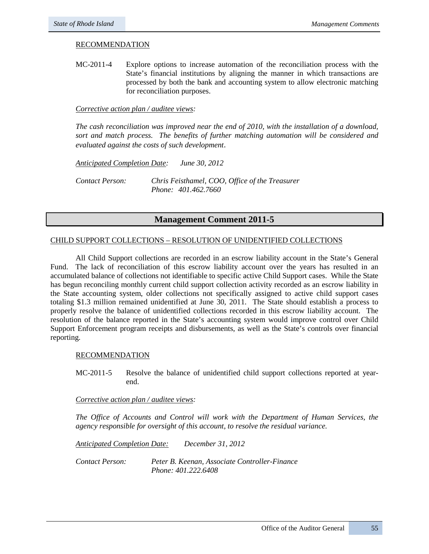## RECOMMENDATION

MC-2011-4 Explore options to increase automation of the reconciliation process with the State's financial institutions by aligning the manner in which transactions are processed by both the bank and accounting system to allow electronic matching for reconciliation purposes.

#### *Corrective action plan / auditee views:*

*The cash reconciliation was improved near the end of 2010, with the installation of a download, sort and match process. The benefits of further matching automation will be considered and evaluated against the costs of such development*.

*Anticipated Completion Date: June 30, 2012 Contact Person: Chris Feisthamel, COO, Office of the Treasurer Phone: 401.462.7660*

## **Management Comment 2011-5**

## CHILD SUPPORT COLLECTIONS – RESOLUTION OF UNIDENTIFIED COLLECTIONS

All Child Support collections are recorded in an escrow liability account in the State's General Fund. The lack of reconciliation of this escrow liability account over the years has resulted in an accumulated balance of collections not identifiable to specific active Child Support cases. While the State has begun reconciling monthly current child support collection activity recorded as an escrow liability in the State accounting system, older collections not specifically assigned to active child support cases totaling \$1.3 million remained unidentified at June 30, 2011. The State should establish a process to properly resolve the balance of unidentified collections recorded in this escrow liability account. The resolution of the balance reported in the State's accounting system would improve control over Child Support Enforcement program receipts and disbursements, as well as the State's controls over financial reporting.

#### RECOMMENDATION

MC-2011-5 Resolve the balance of unidentified child support collections reported at yearend.

#### *Corrective action plan / auditee views:*

*The Office of Accounts and Control will work with the Department of Human Services, the agency responsible for oversight of this account, to resolve the residual variance.*

*Anticipated Completion Date: December 31, 2012* 

*Contact Person: Peter B. Keenan, Associate Controller-Finance Phone: 401.222.6408*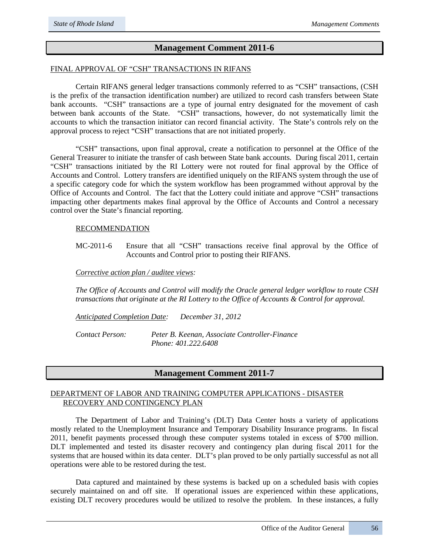## **Management Comment 2011-6**

## FINAL APPROVAL OF "CSH" TRANSACTIONS IN RIFANS

Certain RIFANS general ledger transactions commonly referred to as "CSH" transactions, (CSH is the prefix of the transaction identification number) are utilized to record cash transfers between State bank accounts. "CSH" transactions are a type of journal entry designated for the movement of cash between bank accounts of the State. "CSH" transactions, however, do not systematically limit the accounts to which the transaction initiator can record financial activity. The State's controls rely on the approval process to reject "CSH" transactions that are not initiated properly.

"CSH" transactions, upon final approval, create a notification to personnel at the Office of the General Treasurer to initiate the transfer of cash between State bank accounts. During fiscal 2011, certain "CSH" transactions initiated by the RI Lottery were not routed for final approval by the Office of Accounts and Control. Lottery transfers are identified uniquely on the RIFANS system through the use of a specific category code for which the system workflow has been programmed without approval by the Office of Accounts and Control. The fact that the Lottery could initiate and approve "CSH" transactions impacting other departments makes final approval by the Office of Accounts and Control a necessary control over the State's financial reporting.

#### RECOMMENDATION

MC-2011-6 Ensure that all "CSH" transactions receive final approval by the Office of Accounts and Control prior to posting their RIFANS.

#### *Corrective action plan / auditee views:*

*The Office of Accounts and Control will modify the Oracle general ledger workflow to route CSH transactions that originate at the RI Lottery to the Office of Accounts & Control for approval.*

*Anticipated Completion Date: December 31, 2012* 

*Contact Person: Peter B. Keenan, Associate Controller-Finance Phone: 401.222.6408*

## **Management Comment 2011-7**

## DEPARTMENT OF LABOR AND TRAINING COMPUTER APPLICATIONS - DISASTER RECOVERY AND CONTINGENCY PLAN

The Department of Labor and Training's (DLT) Data Center hosts a variety of applications mostly related to the Unemployment Insurance and Temporary Disability Insurance programs. In fiscal 2011, benefit payments processed through these computer systems totaled in excess of \$700 million. DLT implemented and tested its disaster recovery and contingency plan during fiscal 2011 for the systems that are housed within its data center. DLT's plan proved to be only partially successful as not all operations were able to be restored during the test.

Data captured and maintained by these systems is backed up on a scheduled basis with copies securely maintained on and off site. If operational issues are experienced within these applications, existing DLT recovery procedures would be utilized to resolve the problem. In these instances, a fully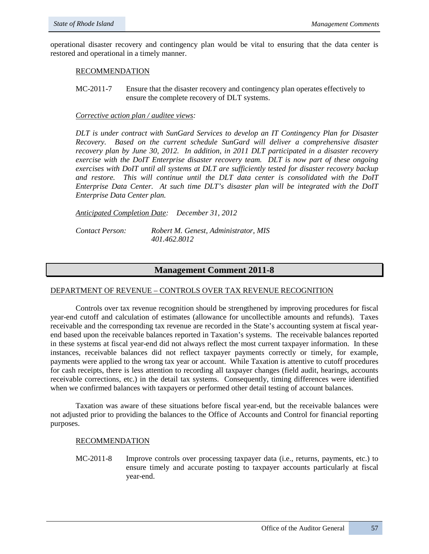operational disaster recovery and contingency plan would be vital to ensuring that the data center is restored and operational in a timely manner.

#### RECOMMENDATION

MC-2011-7 Ensure that the disaster recovery and contingency plan operates effectively to ensure the complete recovery of DLT systems.

## *Corrective action plan / auditee views:*

*DLT is under contract with SunGard Services to develop an IT Contingency Plan for Disaster Recovery. Based on the current schedule SunGard will deliver a comprehensive disaster recovery plan by June 30, 2012. In addition, in 2011 DLT participated in a disaster recovery exercise with the DoIT Enterprise disaster recovery team. DLT is now part of these ongoing exercises with DoIT until all systems at DLT are sufficiently tested for disaster recovery backup and restore. This will continue until the DLT data center is consolidated with the DoIT Enterprise Data Center. At such time DLT's disaster plan will be integrated with the DoIT Enterprise Data Center plan.*

*Anticipated Completion Date: December 31, 2012*

*Contact Person: Robert M. Genest, Administrator, MIS 401.462.8012*

## **Management Comment 2011-8**

## DEPARTMENT OF REVENUE – CONTROLS OVER TAX REVENUE RECOGNITION

Controls over tax revenue recognition should be strengthened by improving procedures for fiscal year-end cutoff and calculation of estimates (allowance for uncollectible amounts and refunds). Taxes receivable and the corresponding tax revenue are recorded in the State's accounting system at fiscal yearend based upon the receivable balances reported in Taxation's systems. The receivable balances reported in these systems at fiscal year-end did not always reflect the most current taxpayer information. In these instances, receivable balances did not reflect taxpayer payments correctly or timely, for example, payments were applied to the wrong tax year or account. While Taxation is attentive to cutoff procedures for cash receipts, there is less attention to recording all taxpayer changes (field audit, hearings, accounts receivable corrections, etc.) in the detail tax systems. Consequently, timing differences were identified when we confirmed balances with taxpayers or performed other detail testing of account balances.

Taxation was aware of these situations before fiscal year-end, but the receivable balances were not adjusted prior to providing the balances to the Office of Accounts and Control for financial reporting purposes.

#### RECOMMENDATION

MC-2011-8 Improve controls over processing taxpayer data (i.e., returns, payments, etc.) to ensure timely and accurate posting to taxpayer accounts particularly at fiscal year-end.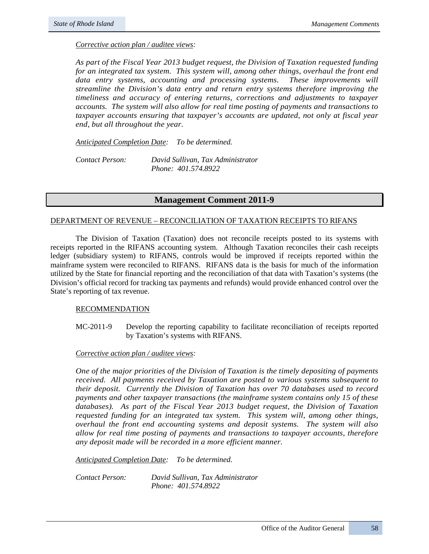#### *Corrective action plan / auditee views:*

*As part of the Fiscal Year 2013 budget request, the Division of Taxation requested funding for an integrated tax system. This system will, among other things, overhaul the front end data entry systems, accounting and processing systems. These improvements will streamline the Division's data entry and return entry systems therefore improving the timeliness and accuracy of entering returns, corrections and adjustments to taxpayer accounts. The system will also allow for real time posting of payments and transactions to taxpayer accounts ensuring that taxpayer's accounts are updated, not only at fiscal year end, but all throughout the year.*

*Anticipated Completion Date: To be determined.* 

*Contact Person: David Sullivan, Tax Administrator Phone: 401.574.8922*

## **Management Comment 2011-9**

#### DEPARTMENT OF REVENUE – RECONCILIATION OF TAXATION RECEIPTS TO RIFANS

The Division of Taxation (Taxation) does not reconcile receipts posted to its systems with receipts reported in the RIFANS accounting system. Although Taxation reconciles their cash receipts ledger (subsidiary system) to RIFANS, controls would be improved if receipts reported within the mainframe system were reconciled to RIFANS. RIFANS data is the basis for much of the information utilized by the State for financial reporting and the reconciliation of that data with Taxation's systems (the Division's official record for tracking tax payments and refunds) would provide enhanced control over the State's reporting of tax revenue.

## RECOMMENDATION

MC-2011-9 Develop the reporting capability to facilitate reconciliation of receipts reported by Taxation's systems with RIFANS.

#### *Corrective action plan / auditee views:*

*One of the major priorities of the Division of Taxation is the timely depositing of payments received. All payments received by Taxation are posted to various systems subsequent to their deposit. Currently the Division of Taxation has over 70 databases used to record payments and other taxpayer transactions (the mainframe system contains only 15 of these databases). As part of the Fiscal Year 2013 budget request, the Division of Taxation requested funding for an integrated tax system. This system will, among other things, overhaul the front end accounting systems and deposit systems. The system will also allow for real time posting of payments and transactions to taxpayer accounts, therefore any deposit made will be recorded in a more efficient manner.*

*Anticipated Completion Date: To be determined.* 

*Contact Person: David Sullivan, Tax Administrator Phone: 401.574.8922*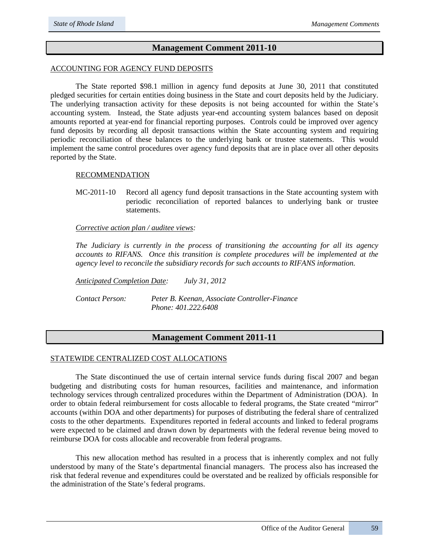## **Management Comment 2011-10**

## ACCOUNTING FOR AGENCY FUND DEPOSITS

The State reported \$98.1 million in agency fund deposits at June 30, 2011 that constituted pledged securities for certain entities doing business in the State and court deposits held by the Judiciary. The underlying transaction activity for these deposits is not being accounted for within the State's accounting system. Instead, the State adjusts year-end accounting system balances based on deposit amounts reported at year-end for financial reporting purposes. Controls could be improved over agency fund deposits by recording all deposit transactions within the State accounting system and requiring periodic reconciliation of these balances to the underlying bank or trustee statements. This would implement the same control procedures over agency fund deposits that are in place over all other deposits reported by the State.

#### RECOMMENDATION

MC-2011-10 Record all agency fund deposit transactions in the State accounting system with periodic reconciliation of reported balances to underlying bank or trustee statements.

*Corrective action plan / auditee views:* 

*The Judiciary is currently in the process of transitioning the accounting for all its agency accounts to RIFANS. Once this transition is complete procedures will be implemented at the agency level to reconcile the subsidiary records for such accounts to RIFANS information.*

*Anticipated Completion Date: July 31, 2012* 

*Contact Person: Peter B. Keenan, Associate Controller-Finance Phone: 401.222.6408*

## **Management Comment 2011-11**

## STATEWIDE CENTRALIZED COST ALLOCATIONS

The State discontinued the use of certain internal service funds during fiscal 2007 and began budgeting and distributing costs for human resources, facilities and maintenance, and information technology services through centralized procedures within the Department of Administration (DOA). In order to obtain federal reimbursement for costs allocable to federal programs, the State created "mirror" accounts (within DOA and other departments) for purposes of distributing the federal share of centralized costs to the other departments. Expenditures reported in federal accounts and linked to federal programs were expected to be claimed and drawn down by departments with the federal revenue being moved to reimburse DOA for costs allocable and recoverable from federal programs.

This new allocation method has resulted in a process that is inherently complex and not fully understood by many of the State's departmental financial managers. The process also has increased the risk that federal revenue and expenditures could be overstated and be realized by officials responsible for the administration of the State's federal programs.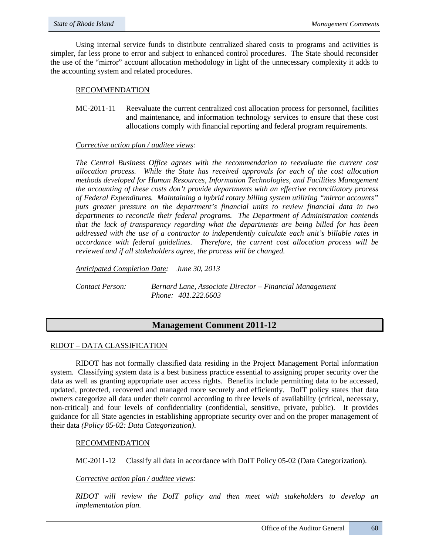Using internal service funds to distribute centralized shared costs to programs and activities is simpler, far less prone to error and subject to enhanced control procedures. The State should reconsider the use of the "mirror" account allocation methodology in light of the unnecessary complexity it adds to the accounting system and related procedures.

## RECOMMENDATION

MC-2011-11 Reevaluate the current centralized cost allocation process for personnel, facilities and maintenance, and information technology services to ensure that these cost allocations comply with financial reporting and federal program requirements.

## *Corrective action plan / auditee views:*

*The Central Business Office agrees with the recommendation to reevaluate the current cost allocation process. While the State has received approvals for each of the cost allocation methods developed for Human Resources, Information Technologies, and Facilities Management the accounting of these costs don't provide departments with an effective reconciliatory process of Federal Expenditures. Maintaining a hybrid rotary billing system utilizing "mirror accounts" puts greater pressure on the department's financial units to review financial data in two departments to reconcile their federal programs. The Department of Administration contends that the lack of transparency regarding what the departments are being billed for has been addressed with the use of a contractor to independently calculate each unit's billable rates in accordance with federal guidelines. Therefore, the current cost allocation process will be reviewed and if all stakeholders agree, the process will be changed.* 

*Anticipated Completion Date: June 30, 2013*

*Contact Person: Bernard Lane, Associate Director – Financial Management Phone: 401.222.6603*

## **Management Comment 2011-12**

## RIDOT – DATA CLASSIFICATION

RIDOT has not formally classified data residing in the Project Management Portal information system. Classifying system data is a best business practice essential to assigning proper security over the data as well as granting appropriate user access rights. Benefits include permitting data to be accessed, updated, protected, recovered and managed more securely and efficiently. DoIT policy states that data owners categorize all data under their control according to three levels of availability (critical, necessary, non-critical) and four levels of confidentiality (confidential, sensitive, private, public). It provides guidance for all State agencies in establishing appropriate security over and on the proper management of their data *(Policy 05-02: Data Categorization)*.

## RECOMMENDATION

MC-2011-12 Classify all data in accordance with DoIT Policy 05-02 (Data Categorization).

## *Corrective action plan / auditee views:*

*RIDOT will review the DoIT policy and then meet with stakeholders to develop an implementation plan.*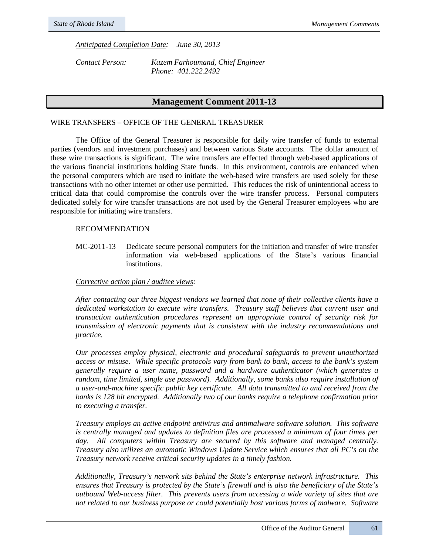*Anticipated Completion Date: June 30, 2013*

*Contact Person: Kazem Farhoumand, Chief Engineer Phone: 401.222.2492*

## **Management Comment 2011-13**

#### WIRE TRANSFERS – OFFICE OF THE GENERAL TREASURER

The Office of the General Treasurer is responsible for daily wire transfer of funds to external parties (vendors and investment purchases) and between various State accounts. The dollar amount of these wire transactions is significant. The wire transfers are effected through web-based applications of the various financial institutions holding State funds. In this environment, controls are enhanced when the personal computers which are used to initiate the web-based wire transfers are used solely for these transactions with no other internet or other use permitted. This reduces the risk of unintentional access to critical data that could compromise the controls over the wire transfer process. Personal computers dedicated solely for wire transfer transactions are not used by the General Treasurer employees who are responsible for initiating wire transfers.

#### RECOMMENDATION

MC-2011-13 Dedicate secure personal computers for the initiation and transfer of wire transfer information via web-based applications of the State's various financial institutions.

#### *Corrective action plan / auditee views:*

*After contacting our three biggest vendors we learned that none of their collective clients have a dedicated workstation to execute wire transfers. Treasury staff believes that current user and transaction authentication procedures represent an appropriate control of security risk for transmission of electronic payments that is consistent with the industry recommendations and practice.*

*Our processes employ physical, electronic and procedural safeguards to prevent unauthorized access or misuse. While specific protocols vary from bank to bank, access to the bank's system generally require a user name, password and a hardware authenticator (which generates a random, time limited, single use password). Additionally, some banks also require installation of a user-and-machine specific public key certificate. All data transmitted to and received from the banks is 128 bit encrypted. Additionally two of our banks require a telephone confirmation prior to executing a transfer.*

*Treasury employs an active endpoint antivirus and antimalware software solution. This software is centrally managed and updates to definition files are processed a minimum of four times per*  day. All computers within Treasury are secured by this software and managed centrally. *Treasury also utilizes an automatic Windows Update Service which ensures that all PC's on the Treasury network receive critical security updates in a timely fashion.*

*Additionally, Treasury's network sits behind the State's enterprise network infrastructure. This ensures that Treasury is protected by the State's firewall and is also the beneficiary of the State's outbound Web-access filter. This prevents users from accessing a wide variety of sites that are not related to our business purpose or could potentially host various forms of malware. Software*